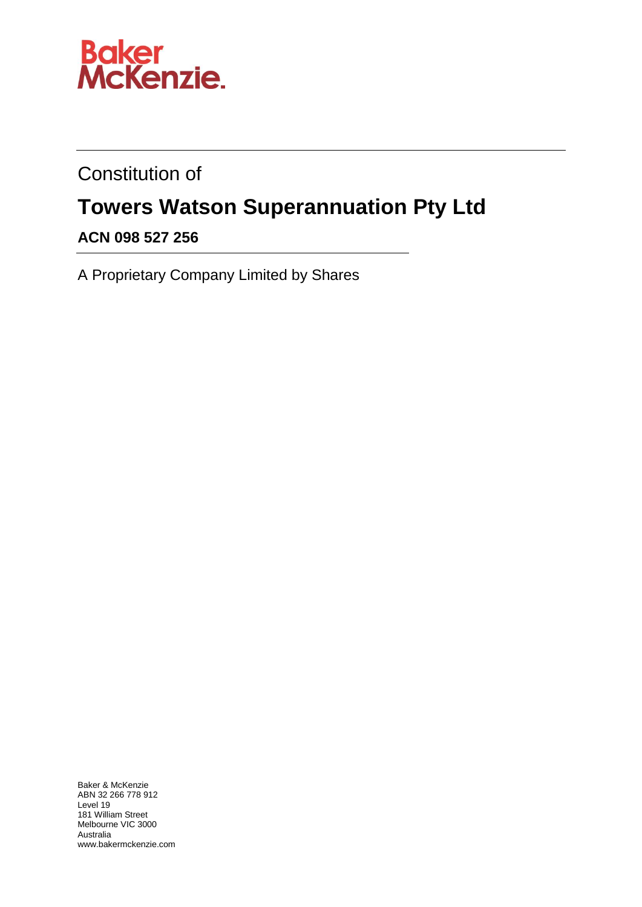

Constitution of

# **Towers Watson Superannuation Pty Ltd**

# **ACN 098 527 256**

A Proprietary Company Limited by Shares

Baker & McKenzie ABN 32 266 778 912 Level 19 181 William Street Melbourne VIC 3000 Australia www.bakermckenzie.com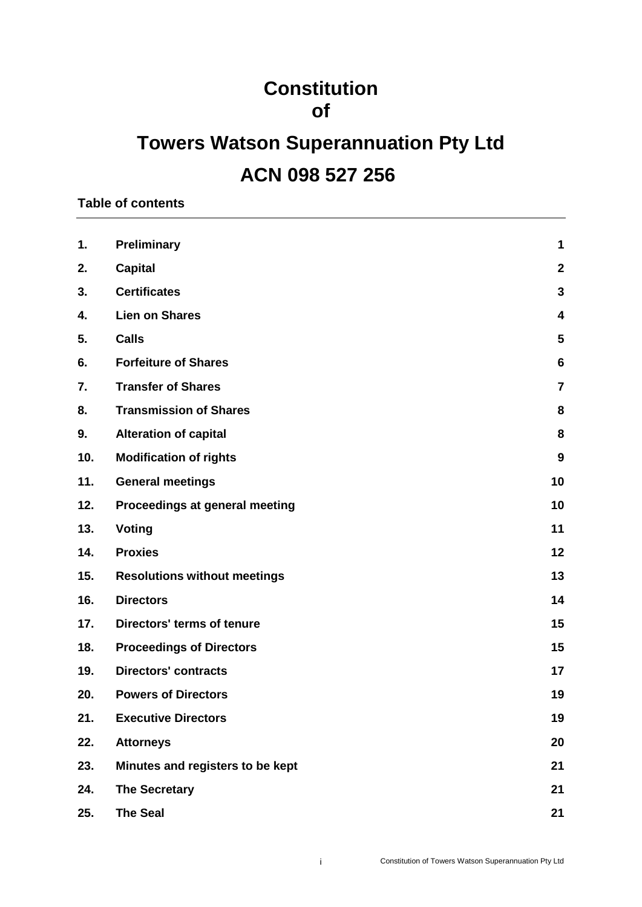# **Constitution of**

# **Towers Watson Superannuation Pty Ltd ACN 098 527 256**

**Table of contents**

| 1.  | <b>Preliminary</b>                  | 1                       |
|-----|-------------------------------------|-------------------------|
| 2.  | <b>Capital</b>                      | $\mathbf{2}$            |
| 3.  | <b>Certificates</b>                 | $\mathbf{3}$            |
| 4.  | <b>Lien on Shares</b>               | $\overline{\mathbf{4}}$ |
| 5.  | <b>Calls</b>                        | $\overline{\mathbf{5}}$ |
| 6.  | <b>Forfeiture of Shares</b>         | 6                       |
| 7.  | <b>Transfer of Shares</b>           | $\overline{7}$          |
| 8.  | <b>Transmission of Shares</b>       | 8                       |
| 9.  | <b>Alteration of capital</b>        | 8                       |
| 10. | <b>Modification of rights</b>       | 9                       |
| 11. | <b>General meetings</b>             | 10                      |
| 12. | Proceedings at general meeting      | 10                      |
| 13. | Voting                              | 11                      |
| 14. | <b>Proxies</b>                      | 12                      |
| 15. | <b>Resolutions without meetings</b> | 13                      |
| 16. | <b>Directors</b>                    | 14                      |
| 17. | Directors' terms of tenure          | 15                      |
| 18. | <b>Proceedings of Directors</b>     | 15                      |
| 19. | <b>Directors' contracts</b>         | 17                      |
| 20. | <b>Powers of Directors</b>          | 19                      |
| 21. | <b>Executive Directors</b>          | 19                      |
| 22. | <b>Attorneys</b>                    | 20                      |
| 23. | Minutes and registers to be kept    | 21                      |
| 24. | <b>The Secretary</b>                | 21                      |
| 25. | <b>The Seal</b>                     | 21                      |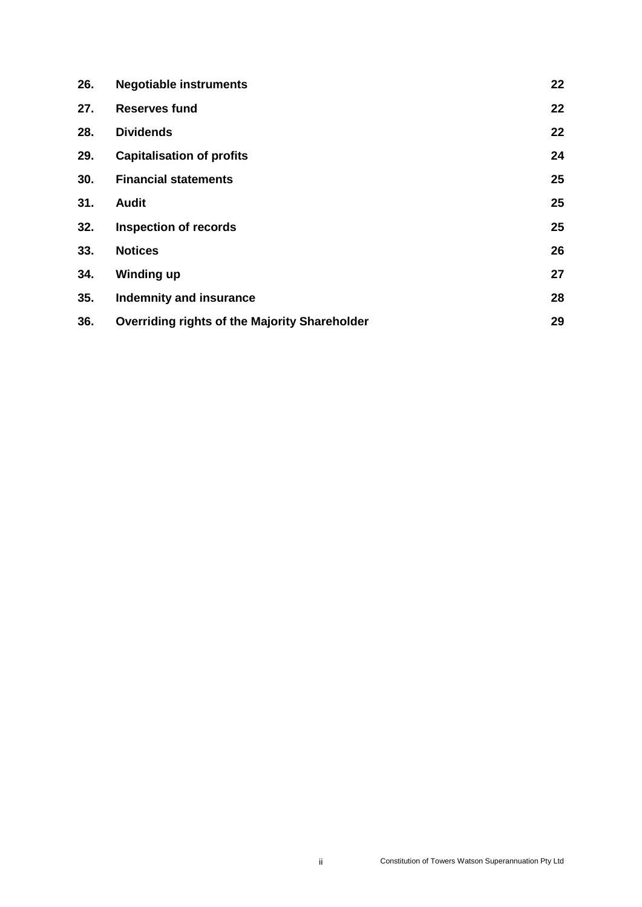| 26. | <b>Negotiable instruments</b>                        | 22 |
|-----|------------------------------------------------------|----|
| 27. | <b>Reserves fund</b>                                 | 22 |
| 28. | <b>Dividends</b>                                     | 22 |
| 29. | <b>Capitalisation of profits</b>                     | 24 |
| 30. | <b>Financial statements</b>                          | 25 |
| 31. | <b>Audit</b>                                         | 25 |
| 32. | <b>Inspection of records</b>                         | 25 |
| 33. | <b>Notices</b>                                       | 26 |
| 34. | <b>Winding up</b>                                    | 27 |
| 35. | Indemnity and insurance                              | 28 |
| 36. | <b>Overriding rights of the Majority Shareholder</b> | 29 |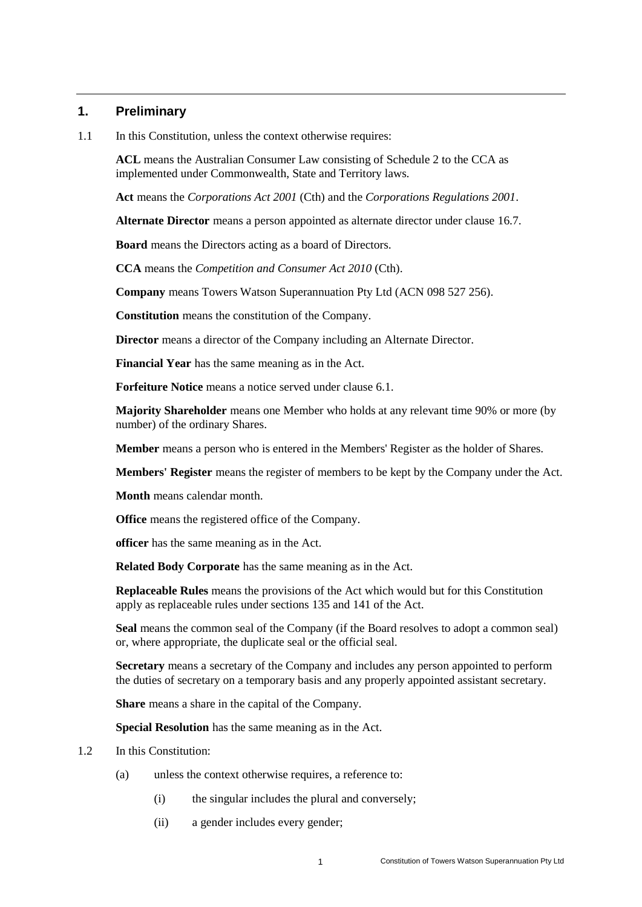# <span id="page-3-0"></span>**1. Preliminary**

1.1 In this Constitution, unless the context otherwise requires:

**ACL** means the Australian Consumer Law consisting of Schedule 2 to the CCA as implemented under Commonwealth, State and Territory laws*.*

**Act** means the *Corporations Act 2001* (Cth) and the *Corporations Regulations 2001*.

**Alternate Director** means a person appointed as alternate director under clause [16.7.](#page-16-1)

**Board** means the Directors acting as a board of Directors.

**CCA** means the *Competition and Consumer Act 2010* (Cth).

**Company** means Towers Watson Superannuation Pty Ltd (ACN 098 527 256).

**Constitution** means the constitution of the Company.

**Director** means a director of the Company including an Alternate Director.

**Financial Year** has the same meaning as in the Act.

**Forfeiture Notice** means a notice served under clause [6.1.](#page-8-1)

**Majority Shareholder** means one Member who holds at any relevant time 90% or more (by number) of the ordinary Shares.

**Member** means a person who is entered in the Members' Register as the holder of Shares.

**Members' Register** means the register of members to be kept by the Company under the Act.

**Month** means calendar month.

**Office** means the registered office of the Company.

**officer** has the same meaning as in the Act.

**Related Body Corporate** has the same meaning as in the Act.

**Replaceable Rules** means the provisions of the Act which would but for this Constitution apply as replaceable rules under sections 135 and 141 of the Act.

**Seal** means the common seal of the Company (if the Board resolves to adopt a common seal) or, where appropriate, the duplicate seal or the official seal.

**Secretary** means a secretary of the Company and includes any person appointed to perform the duties of secretary on a temporary basis and any properly appointed assistant secretary.

**Share** means a share in the capital of the Company.

**Special Resolution** has the same meaning as in the Act.

- 1.2 In this Constitution:
	- (a) unless the context otherwise requires, a reference to:
		- (i) the singular includes the plural and conversely;
		- (ii) a gender includes every gender;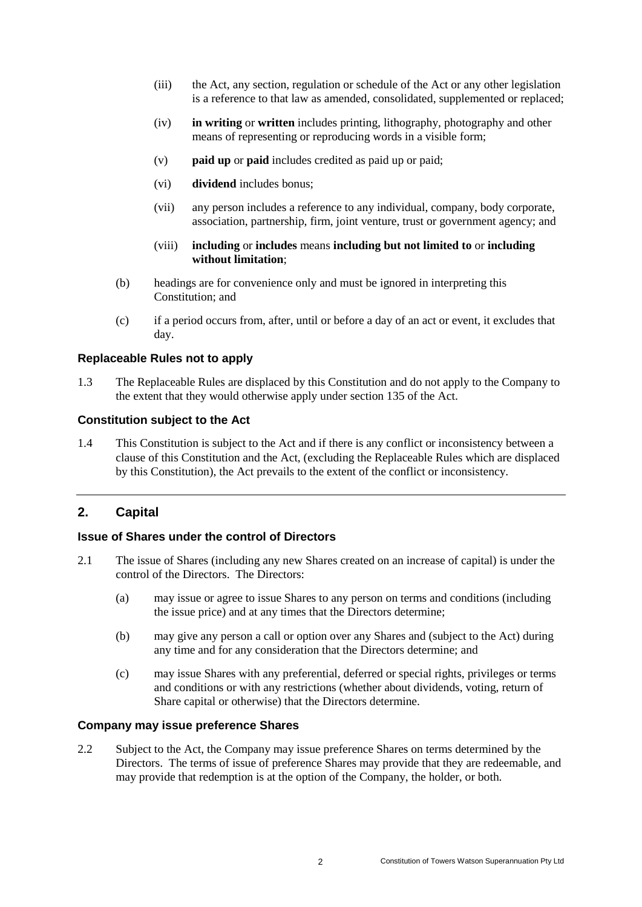- (iii) the Act, any section, regulation or schedule of the Act or any other legislation is a reference to that law as amended, consolidated, supplemented or replaced;
- (iv) **in writing** or **written** includes printing, lithography, photography and other means of representing or reproducing words in a visible form;
- (v) **paid up** or **paid** includes credited as paid up or paid;
- (vi) **dividend** includes bonus;
- (vii) any person includes a reference to any individual, company, body corporate, association, partnership, firm, joint venture, trust or government agency; and
- (viii) **including** or **includes** means **including but not limited to** or **including without limitation**;
- (b) headings are for convenience only and must be ignored in interpreting this Constitution; and
- (c) if a period occurs from, after, until or before a day of an act or event, it excludes that day.

#### **Replaceable Rules not to apply**

1.3 The Replaceable Rules are displaced by this Constitution and do not apply to the Company to the extent that they would otherwise apply under section 135 of the Act.

#### **Constitution subject to the Act**

1.4 This Constitution is subject to the Act and if there is any conflict or inconsistency between a clause of this Constitution and the Act, (excluding the Replaceable Rules which are displaced by this Constitution), the Act prevails to the extent of the conflict or inconsistency.

## <span id="page-4-0"></span>**2. Capital**

#### **Issue of Shares under the control of Directors**

- 2.1 The issue of Shares (including any new Shares created on an increase of capital) is under the control of the Directors. The Directors:
	- (a) may issue or agree to issue Shares to any person on terms and conditions (including the issue price) and at any times that the Directors determine;
	- (b) may give any person a call or option over any Shares and (subject to the Act) during any time and for any consideration that the Directors determine; and
	- (c) may issue Shares with any preferential, deferred or special rights, privileges or terms and conditions or with any restrictions (whether about dividends, voting, return of Share capital or otherwise) that the Directors determine.

#### **Company may issue preference Shares**

2.2 Subject to the Act, the Company may issue preference Shares on terms determined by the Directors. The terms of issue of preference Shares may provide that they are redeemable, and may provide that redemption is at the option of the Company, the holder, or both.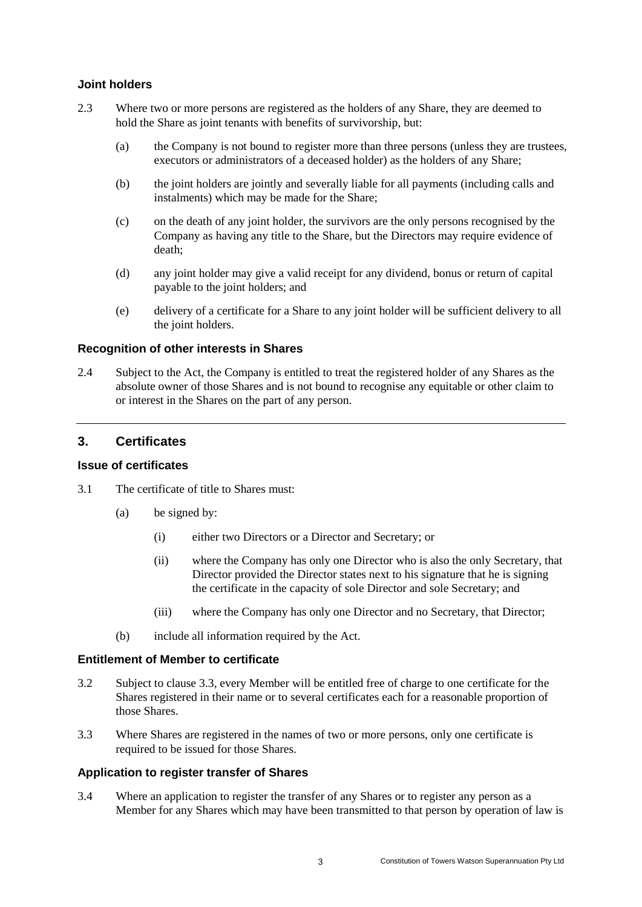#### **Joint holders**

- 2.3 Where two or more persons are registered as the holders of any Share, they are deemed to hold the Share as joint tenants with benefits of survivorship, but:
	- (a) the Company is not bound to register more than three persons (unless they are trustees, executors or administrators of a deceased holder) as the holders of any Share;
	- (b) the joint holders are jointly and severally liable for all payments (including calls and instalments) which may be made for the Share;
	- (c) on the death of any joint holder, the survivors are the only persons recognised by the Company as having any title to the Share, but the Directors may require evidence of death;
	- (d) any joint holder may give a valid receipt for any dividend, bonus or return of capital payable to the joint holders; and
	- (e) delivery of a certificate for a Share to any joint holder will be sufficient delivery to all the joint holders.

#### **Recognition of other interests in Shares**

2.4 Subject to the Act, the Company is entitled to treat the registered holder of any Shares as the absolute owner of those Shares and is not bound to recognise any equitable or other claim to or interest in the Shares on the part of any person.

# <span id="page-5-0"></span>**3. Certificates**

#### **Issue of certificates**

- 3.1 The certificate of title to Shares must:
	- (a) be signed by:
		- (i) either two Directors or a Director and Secretary; or
		- (ii) where the Company has only one Director who is also the only Secretary, that Director provided the Director states next to his signature that he is signing the certificate in the capacity of sole Director and sole Secretary; and
		- (iii) where the Company has only one Director and no Secretary, that Director;
	- (b) include all information required by the Act.

#### **Entitlement of Member to certificate**

- 3.2 Subject to clause [3.3,](#page-5-1) every Member will be entitled free of charge to one certificate for the Shares registered in their name or to several certificates each for a reasonable proportion of those Shares.
- <span id="page-5-1"></span>3.3 Where Shares are registered in the names of two or more persons, only one certificate is required to be issued for those Shares.

## **Application to register transfer of Shares**

3.4 Where an application to register the transfer of any Shares or to register any person as a Member for any Shares which may have been transmitted to that person by operation of law is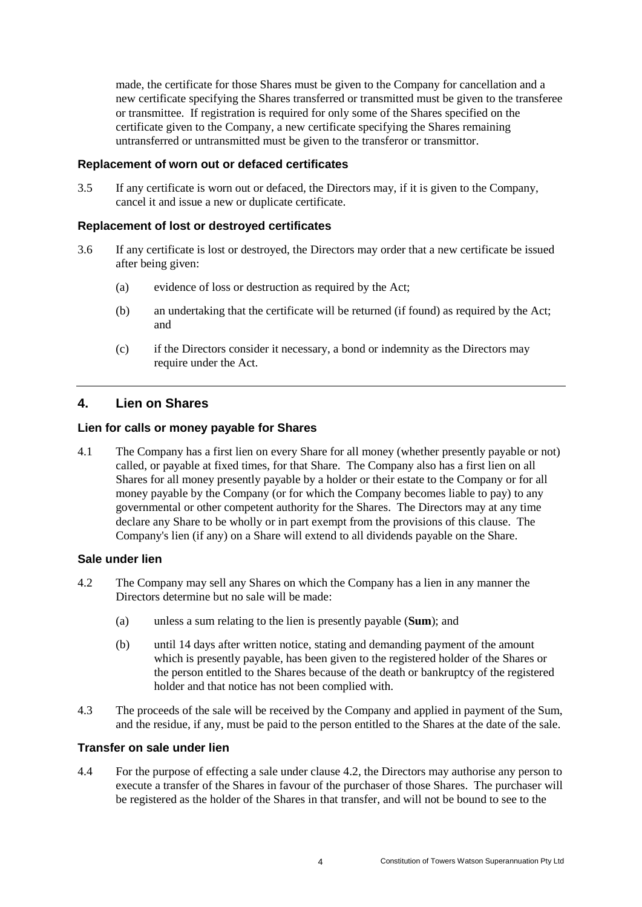made, the certificate for those Shares must be given to the Company for cancellation and a new certificate specifying the Shares transferred or transmitted must be given to the transferee or transmittee. If registration is required for only some of the Shares specified on the certificate given to the Company, a new certificate specifying the Shares remaining untransferred or untransmitted must be given to the transferor or transmittor.

#### **Replacement of worn out or defaced certificates**

3.5 If any certificate is worn out or defaced, the Directors may, if it is given to the Company, cancel it and issue a new or duplicate certificate.

#### **Replacement of lost or destroyed certificates**

- 3.6 If any certificate is lost or destroyed, the Directors may order that a new certificate be issued after being given:
	- (a) evidence of loss or destruction as required by the Act;
	- (b) an undertaking that the certificate will be returned (if found) as required by the Act; and
	- (c) if the Directors consider it necessary, a bond or indemnity as the Directors may require under the Act.

# <span id="page-6-0"></span>**4. Lien on Shares**

#### **Lien for calls or money payable for Shares**

4.1 The Company has a first lien on every Share for all money (whether presently payable or not) called, or payable at fixed times, for that Share. The Company also has a first lien on all Shares for all money presently payable by a holder or their estate to the Company or for all money payable by the Company (or for which the Company becomes liable to pay) to any governmental or other competent authority for the Shares. The Directors may at any time declare any Share to be wholly or in part exempt from the provisions of this clause. The Company's lien (if any) on a Share will extend to all dividends payable on the Share.

#### **Sale under lien**

- <span id="page-6-1"></span>4.2 The Company may sell any Shares on which the Company has a lien in any manner the Directors determine but no sale will be made:
	- (a) unless a sum relating to the lien is presently payable (**Sum**); and
	- (b) until 14 days after written notice, stating and demanding payment of the amount which is presently payable, has been given to the registered holder of the Shares or the person entitled to the Shares because of the death or bankruptcy of the registered holder and that notice has not been complied with.
- 4.3 The proceeds of the sale will be received by the Company and applied in payment of the Sum, and the residue, if any, must be paid to the person entitled to the Shares at the date of the sale.

#### **Transfer on sale under lien**

4.4 For the purpose of effecting a sale under clause [4.2,](#page-6-1) the Directors may authorise any person to execute a transfer of the Shares in favour of the purchaser of those Shares. The purchaser will be registered as the holder of the Shares in that transfer, and will not be bound to see to the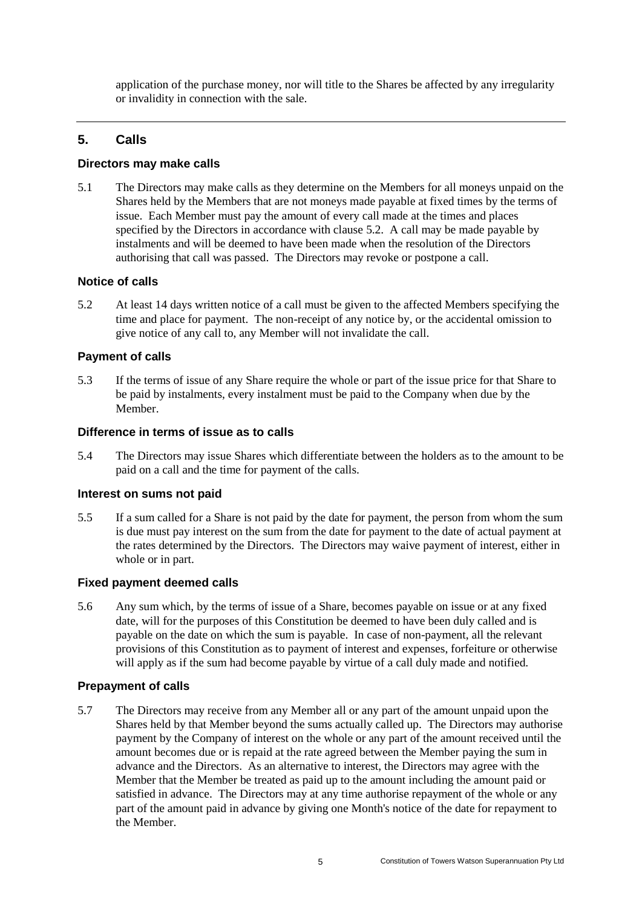application of the purchase money, nor will title to the Shares be affected by any irregularity or invalidity in connection with the sale.

# <span id="page-7-0"></span>**5. Calls**

#### **Directors may make calls**

5.1 The Directors may make calls as they determine on the Members for all moneys unpaid on the Shares held by the Members that are not moneys made payable at fixed times by the terms of issue. Each Member must pay the amount of every call made at the times and places specified by the Directors in accordance with clause [5.2.](#page-7-1) A call may be made payable by instalments and will be deemed to have been made when the resolution of the Directors authorising that call was passed. The Directors may revoke or postpone a call.

#### **Notice of calls**

<span id="page-7-1"></span>5.2 At least 14 days written notice of a call must be given to the affected Members specifying the time and place for payment. The non-receipt of any notice by, or the accidental omission to give notice of any call to, any Member will not invalidate the call.

## **Payment of calls**

5.3 If the terms of issue of any Share require the whole or part of the issue price for that Share to be paid by instalments, every instalment must be paid to the Company when due by the Member.

#### **Difference in terms of issue as to calls**

5.4 The Directors may issue Shares which differentiate between the holders as to the amount to be paid on a call and the time for payment of the calls.

#### **Interest on sums not paid**

5.5 If a sum called for a Share is not paid by the date for payment, the person from whom the sum is due must pay interest on the sum from the date for payment to the date of actual payment at the rates determined by the Directors. The Directors may waive payment of interest, either in whole or in part.

#### **Fixed payment deemed calls**

5.6 Any sum which, by the terms of issue of a Share, becomes payable on issue or at any fixed date, will for the purposes of this Constitution be deemed to have been duly called and is payable on the date on which the sum is payable. In case of non-payment, all the relevant provisions of this Constitution as to payment of interest and expenses, forfeiture or otherwise will apply as if the sum had become payable by virtue of a call duly made and notified.

#### **Prepayment of calls**

5.7 The Directors may receive from any Member all or any part of the amount unpaid upon the Shares held by that Member beyond the sums actually called up. The Directors may authorise payment by the Company of interest on the whole or any part of the amount received until the amount becomes due or is repaid at the rate agreed between the Member paying the sum in advance and the Directors. As an alternative to interest, the Directors may agree with the Member that the Member be treated as paid up to the amount including the amount paid or satisfied in advance. The Directors may at any time authorise repayment of the whole or any part of the amount paid in advance by giving one Month's notice of the date for repayment to the Member.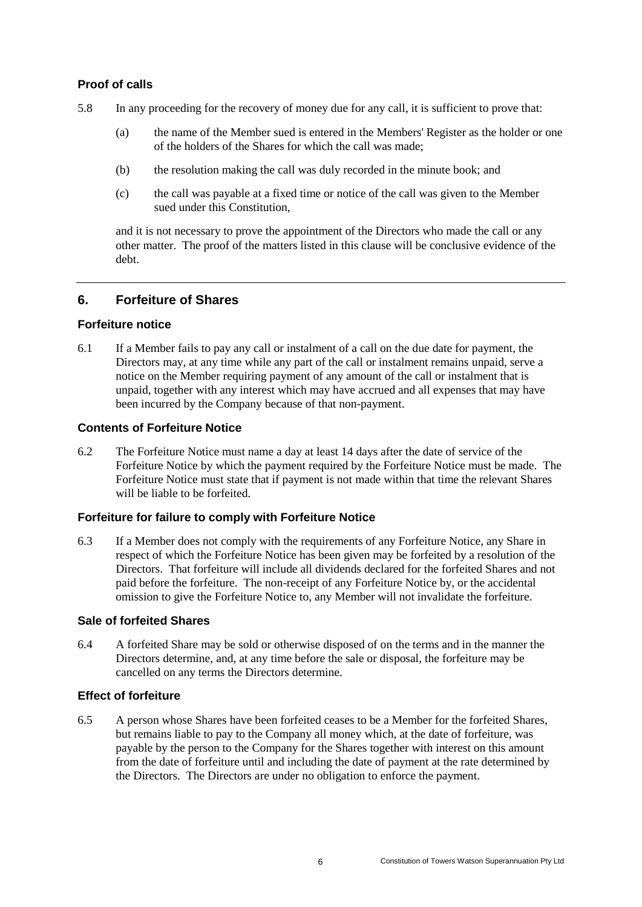## **Proof of calls**

- 5.8 In any proceeding for the recovery of money due for any call, it is sufficient to prove that:
	- (a) the name of the Member sued is entered in the Members' Register as the holder or one of the holders of the Shares for which the call was made;
	- (b) the resolution making the call was duly recorded in the minute book; and
	- (c) the call was payable at a fixed time or notice of the call was given to the Member sued under this Constitution,

and it is not necessary to prove the appointment of the Directors who made the call or any other matter. The proof of the matters listed in this clause will be conclusive evidence of the debt.

# <span id="page-8-0"></span>**6. Forfeiture of Shares**

## **Forfeiture notice**

<span id="page-8-1"></span>6.1 If a Member fails to pay any call or instalment of a call on the due date for payment, the Directors may, at any time while any part of the call or instalment remains unpaid, serve a notice on the Member requiring payment of any amount of the call or instalment that is unpaid, together with any interest which may have accrued and all expenses that may have been incurred by the Company because of that non-payment.

# **Contents of Forfeiture Notice**

6.2 The Forfeiture Notice must name a day at least 14 days after the date of service of the Forfeiture Notice by which the payment required by the Forfeiture Notice must be made. The Forfeiture Notice must state that if payment is not made within that time the relevant Shares will be liable to be forfeited.

## **Forfeiture for failure to comply with Forfeiture Notice**

6.3 If a Member does not comply with the requirements of any Forfeiture Notice, any Share in respect of which the Forfeiture Notice has been given may be forfeited by a resolution of the Directors. That forfeiture will include all dividends declared for the forfeited Shares and not paid before the forfeiture. The non-receipt of any Forfeiture Notice by, or the accidental omission to give the Forfeiture Notice to, any Member will not invalidate the forfeiture.

## **Sale of forfeited Shares**

6.4 A forfeited Share may be sold or otherwise disposed of on the terms and in the manner the Directors determine, and, at any time before the sale or disposal, the forfeiture may be cancelled on any terms the Directors determine.

## **Effect of forfeiture**

6.5 A person whose Shares have been forfeited ceases to be a Member for the forfeited Shares, but remains liable to pay to the Company all money which, at the date of forfeiture, was payable by the person to the Company for the Shares together with interest on this amount from the date of forfeiture until and including the date of payment at the rate determined by the Directors. The Directors are under no obligation to enforce the payment.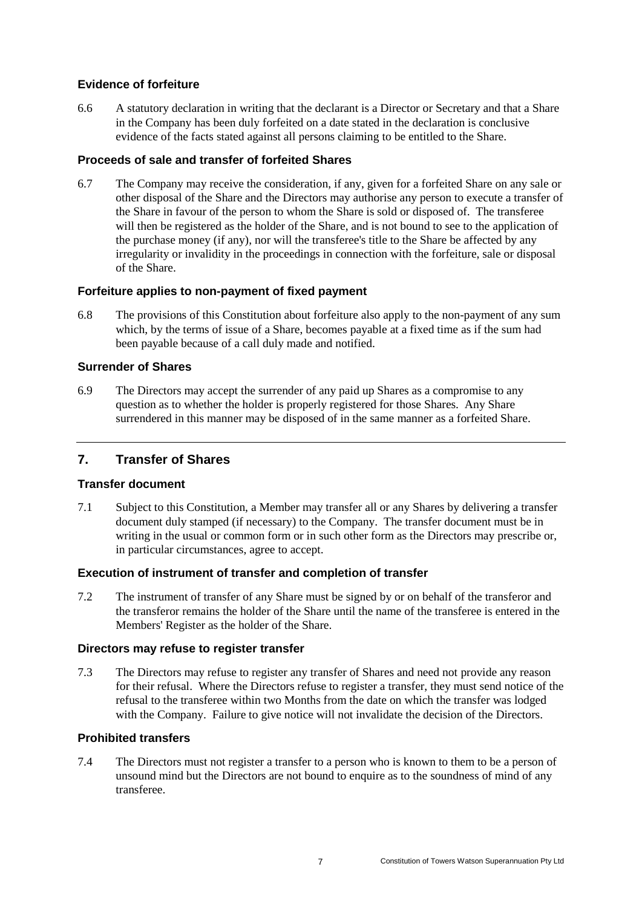## **Evidence of forfeiture**

6.6 A statutory declaration in writing that the declarant is a Director or Secretary and that a Share in the Company has been duly forfeited on a date stated in the declaration is conclusive evidence of the facts stated against all persons claiming to be entitled to the Share.

## **Proceeds of sale and transfer of forfeited Shares**

6.7 The Company may receive the consideration, if any, given for a forfeited Share on any sale or other disposal of the Share and the Directors may authorise any person to execute a transfer of the Share in favour of the person to whom the Share is sold or disposed of. The transferee will then be registered as the holder of the Share, and is not bound to see to the application of the purchase money (if any), nor will the transferee's title to the Share be affected by any irregularity or invalidity in the proceedings in connection with the forfeiture, sale or disposal of the Share.

## **Forfeiture applies to non-payment of fixed payment**

6.8 The provisions of this Constitution about forfeiture also apply to the non-payment of any sum which, by the terms of issue of a Share, becomes payable at a fixed time as if the sum had been payable because of a call duly made and notified.

## **Surrender of Shares**

6.9 The Directors may accept the surrender of any paid up Shares as a compromise to any question as to whether the holder is properly registered for those Shares. Any Share surrendered in this manner may be disposed of in the same manner as a forfeited Share.

## <span id="page-9-0"></span>**7. Transfer of Shares**

#### **Transfer document**

7.1 Subject to this Constitution, a Member may transfer all or any Shares by delivering a transfer document duly stamped (if necessary) to the Company. The transfer document must be in writing in the usual or common form or in such other form as the Directors may prescribe or, in particular circumstances, agree to accept.

## **Execution of instrument of transfer and completion of transfer**

7.2 The instrument of transfer of any Share must be signed by or on behalf of the transferor and the transferor remains the holder of the Share until the name of the transferee is entered in the Members' Register as the holder of the Share.

#### **Directors may refuse to register transfer**

7.3 The Directors may refuse to register any transfer of Shares and need not provide any reason for their refusal. Where the Directors refuse to register a transfer, they must send notice of the refusal to the transferee within two Months from the date on which the transfer was lodged with the Company. Failure to give notice will not invalidate the decision of the Directors.

## **Prohibited transfers**

7.4 The Directors must not register a transfer to a person who is known to them to be a person of unsound mind but the Directors are not bound to enquire as to the soundness of mind of any transferee.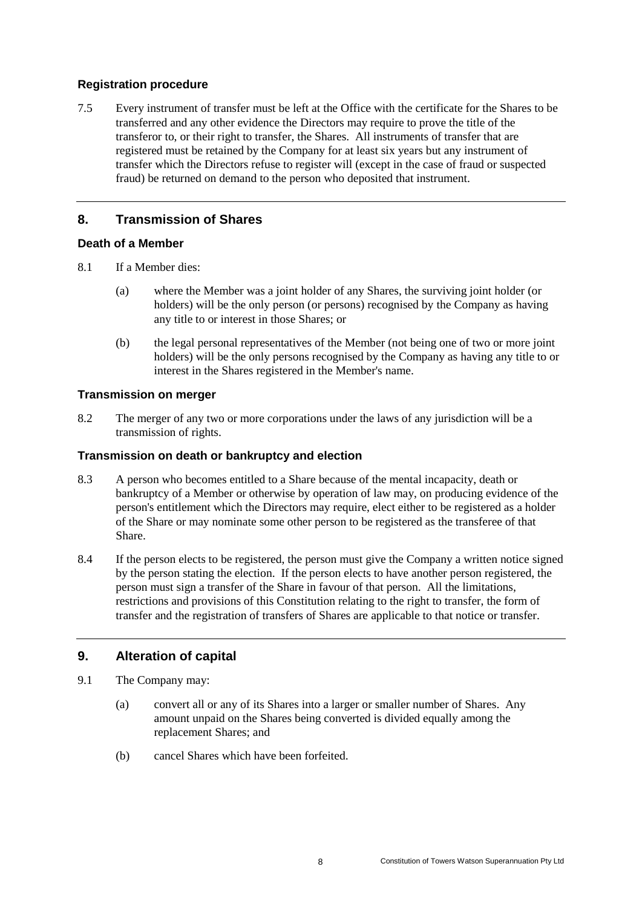## **Registration procedure**

7.5 Every instrument of transfer must be left at the Office with the certificate for the Shares to be transferred and any other evidence the Directors may require to prove the title of the transferor to, or their right to transfer, the Shares. All instruments of transfer that are registered must be retained by the Company for at least six years but any instrument of transfer which the Directors refuse to register will (except in the case of fraud or suspected fraud) be returned on demand to the person who deposited that instrument.

# <span id="page-10-0"></span>**8. Transmission of Shares**

## **Death of a Member**

- 8.1 If a Member dies:
	- (a) where the Member was a joint holder of any Shares, the surviving joint holder (or holders) will be the only person (or persons) recognised by the Company as having any title to or interest in those Shares; or
	- (b) the legal personal representatives of the Member (not being one of two or more joint holders) will be the only persons recognised by the Company as having any title to or interest in the Shares registered in the Member's name.

# **Transmission on merger**

8.2 The merger of any two or more corporations under the laws of any jurisdiction will be a transmission of rights.

## **Transmission on death or bankruptcy and election**

- 8.3 A person who becomes entitled to a Share because of the mental incapacity, death or bankruptcy of a Member or otherwise by operation of law may, on producing evidence of the person's entitlement which the Directors may require, elect either to be registered as a holder of the Share or may nominate some other person to be registered as the transferee of that Share.
- 8.4 If the person elects to be registered, the person must give the Company a written notice signed by the person stating the election. If the person elects to have another person registered, the person must sign a transfer of the Share in favour of that person. All the limitations, restrictions and provisions of this Constitution relating to the right to transfer, the form of transfer and the registration of transfers of Shares are applicable to that notice or transfer.

# <span id="page-10-1"></span>**9. Alteration of capital**

- 9.1 The Company may:
	- (a) convert all or any of its Shares into a larger or smaller number of Shares. Any amount unpaid on the Shares being converted is divided equally among the replacement Shares; and
	- (b) cancel Shares which have been forfeited.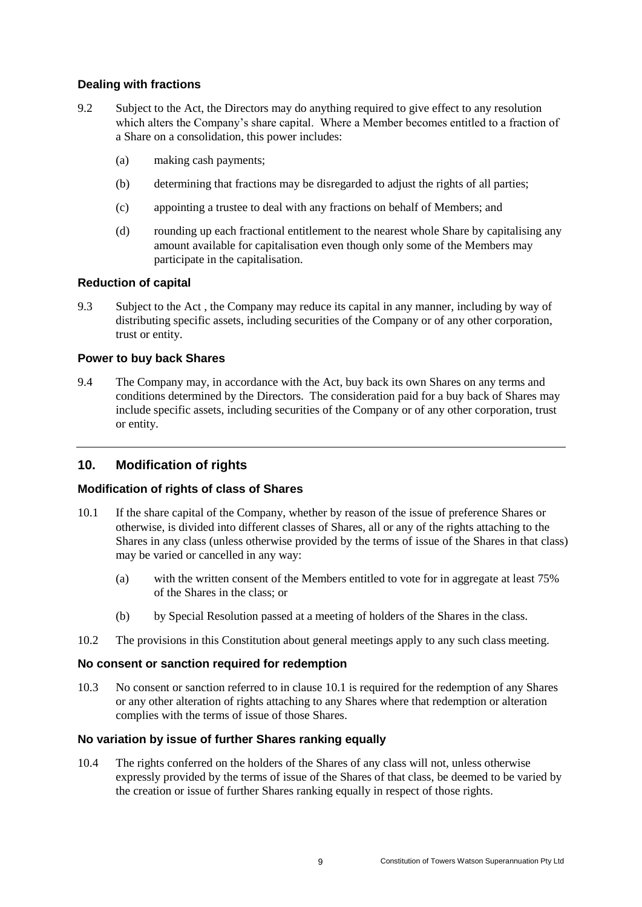## **Dealing with fractions**

- 9.2 Subject to the Act, the Directors may do anything required to give effect to any resolution which alters the Company's share capital. Where a Member becomes entitled to a fraction of a Share on a consolidation, this power includes:
	- (a) making cash payments;
	- (b) determining that fractions may be disregarded to adjust the rights of all parties;
	- (c) appointing a trustee to deal with any fractions on behalf of Members; and
	- (d) rounding up each fractional entitlement to the nearest whole Share by capitalising any amount available for capitalisation even though only some of the Members may participate in the capitalisation.

# **Reduction of capital**

9.3 Subject to the Act , the Company may reduce its capital in any manner, including by way of distributing specific assets, including securities of the Company or of any other corporation, trust or entity.

# **Power to buy back Shares**

9.4 The Company may, in accordance with the Act, buy back its own Shares on any terms and conditions determined by the Directors. The consideration paid for a buy back of Shares may include specific assets, including securities of the Company or of any other corporation, trust or entity.

# <span id="page-11-0"></span>**10. Modification of rights**

## **Modification of rights of class of Shares**

- <span id="page-11-1"></span>10.1 If the share capital of the Company, whether by reason of the issue of preference Shares or otherwise, is divided into different classes of Shares, all or any of the rights attaching to the Shares in any class (unless otherwise provided by the terms of issue of the Shares in that class) may be varied or cancelled in any way:
	- (a) with the written consent of the Members entitled to vote for in aggregate at least 75% of the Shares in the class; or
	- (b) by Special Resolution passed at a meeting of holders of the Shares in the class.
- 10.2 The provisions in this Constitution about general meetings apply to any such class meeting.

## **No consent or sanction required for redemption**

10.3 No consent or sanction referred to in clause [10.1](#page-11-1) is required for the redemption of any Shares or any other alteration of rights attaching to any Shares where that redemption or alteration complies with the terms of issue of those Shares.

## **No variation by issue of further Shares ranking equally**

10.4 The rights conferred on the holders of the Shares of any class will not, unless otherwise expressly provided by the terms of issue of the Shares of that class, be deemed to be varied by the creation or issue of further Shares ranking equally in respect of those rights.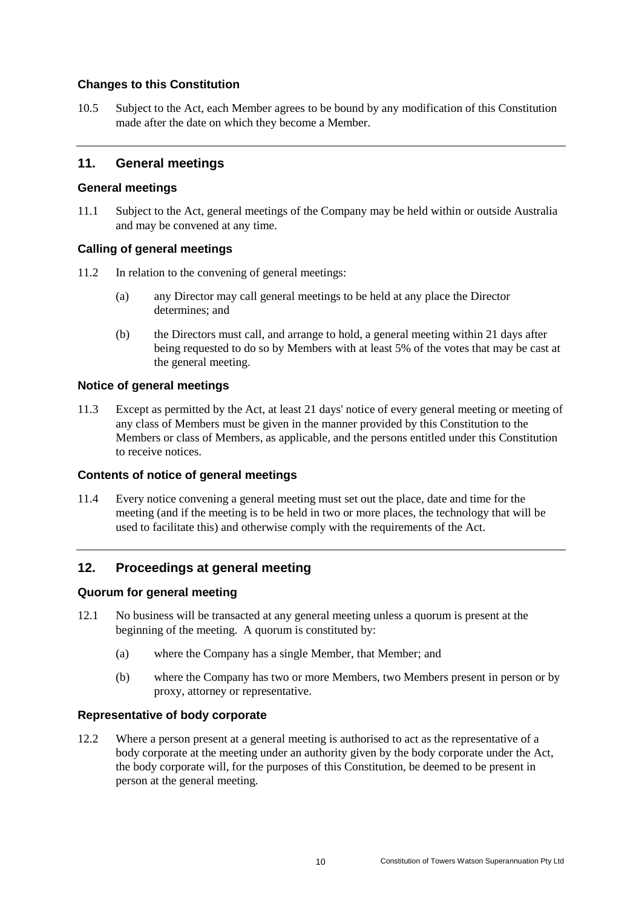## **Changes to this Constitution**

10.5 Subject to the Act, each Member agrees to be bound by any modification of this Constitution made after the date on which they become a Member.

## <span id="page-12-0"></span>**11. General meetings**

#### **General meetings**

11.1 Subject to the Act, general meetings of the Company may be held within or outside Australia and may be convened at any time.

#### **Calling of general meetings**

- 11.2 In relation to the convening of general meetings:
	- (a) any Director may call general meetings to be held at any place the Director determines; and
	- (b) the Directors must call, and arrange to hold, a general meeting within 21 days after being requested to do so by Members with at least 5% of the votes that may be cast at the general meeting.

#### **Notice of general meetings**

11.3 Except as permitted by the Act, at least 21 days' notice of every general meeting or meeting of any class of Members must be given in the manner provided by this Constitution to the Members or class of Members, as applicable, and the persons entitled under this Constitution to receive notices.

#### **Contents of notice of general meetings**

11.4 Every notice convening a general meeting must set out the place, date and time for the meeting (and if the meeting is to be held in two or more places, the technology that will be used to facilitate this) and otherwise comply with the requirements of the Act.

## <span id="page-12-1"></span>**12. Proceedings at general meeting**

#### **Quorum for general meeting**

- 12.1 No business will be transacted at any general meeting unless a quorum is present at the beginning of the meeting. A quorum is constituted by:
	- (a) where the Company has a single Member, that Member; and
	- (b) where the Company has two or more Members, two Members present in person or by proxy, attorney or representative.

#### **Representative of body corporate**

12.2 Where a person present at a general meeting is authorised to act as the representative of a body corporate at the meeting under an authority given by the body corporate under the Act, the body corporate will, for the purposes of this Constitution, be deemed to be present in person at the general meeting.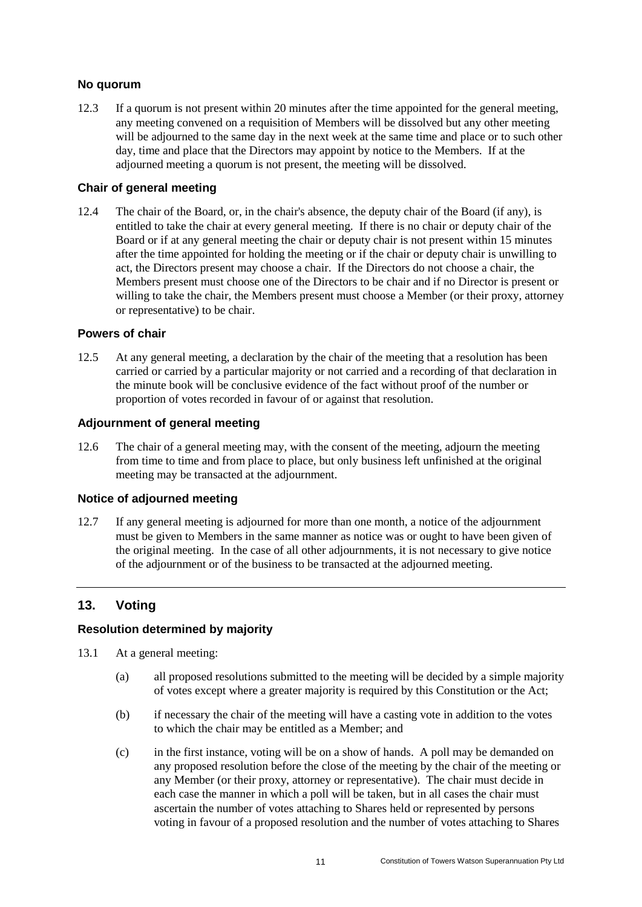## **No quorum**

12.3 If a quorum is not present within 20 minutes after the time appointed for the general meeting, any meeting convened on a requisition of Members will be dissolved but any other meeting will be adjourned to the same day in the next week at the same time and place or to such other day, time and place that the Directors may appoint by notice to the Members. If at the adjourned meeting a quorum is not present, the meeting will be dissolved.

## **Chair of general meeting**

12.4 The chair of the Board, or, in the chair's absence, the deputy chair of the Board (if any), is entitled to take the chair at every general meeting. If there is no chair or deputy chair of the Board or if at any general meeting the chair or deputy chair is not present within 15 minutes after the time appointed for holding the meeting or if the chair or deputy chair is unwilling to act, the Directors present may choose a chair. If the Directors do not choose a chair, the Members present must choose one of the Directors to be chair and if no Director is present or willing to take the chair, the Members present must choose a Member (or their proxy, attorney or representative) to be chair.

## **Powers of chair**

12.5 At any general meeting, a declaration by the chair of the meeting that a resolution has been carried or carried by a particular majority or not carried and a recording of that declaration in the minute book will be conclusive evidence of the fact without proof of the number or proportion of votes recorded in favour of or against that resolution.

#### **Adjournment of general meeting**

12.6 The chair of a general meeting may, with the consent of the meeting, adjourn the meeting from time to time and from place to place, but only business left unfinished at the original meeting may be transacted at the adjournment.

#### **Notice of adjourned meeting**

12.7 If any general meeting is adjourned for more than one month, a notice of the adjournment must be given to Members in the same manner as notice was or ought to have been given of the original meeting. In the case of all other adjournments, it is not necessary to give notice of the adjournment or of the business to be transacted at the adjourned meeting.

# <span id="page-13-0"></span>**13. Voting**

## **Resolution determined by majority**

- 13.1 At a general meeting:
	- (a) all proposed resolutions submitted to the meeting will be decided by a simple majority of votes except where a greater majority is required by this Constitution or the Act;
	- (b) if necessary the chair of the meeting will have a casting vote in addition to the votes to which the chair may be entitled as a Member; and
	- (c) in the first instance, voting will be on a show of hands. A poll may be demanded on any proposed resolution before the close of the meeting by the chair of the meeting or any Member (or their proxy, attorney or representative). The chair must decide in each case the manner in which a poll will be taken, but in all cases the chair must ascertain the number of votes attaching to Shares held or represented by persons voting in favour of a proposed resolution and the number of votes attaching to Shares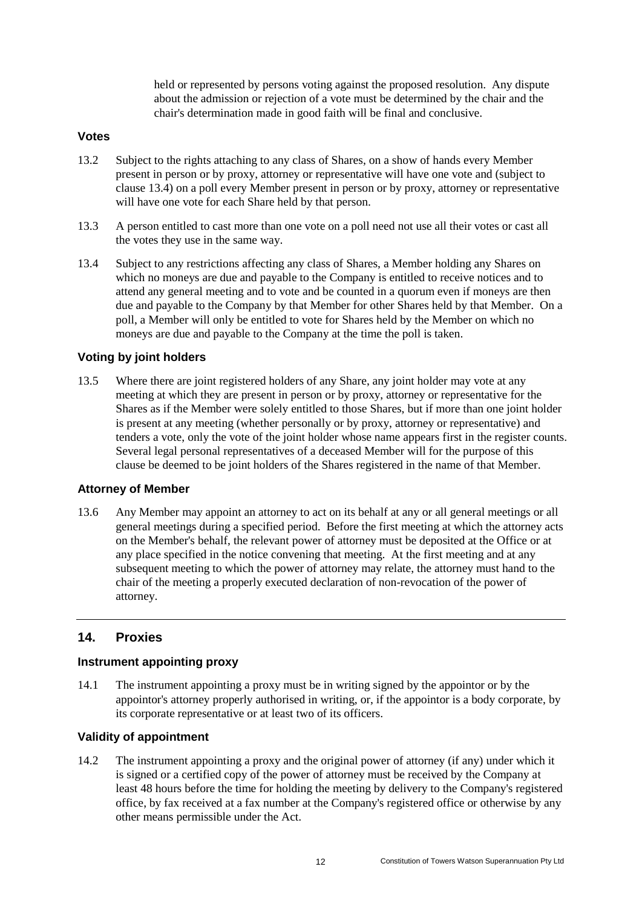held or represented by persons voting against the proposed resolution. Any dispute about the admission or rejection of a vote must be determined by the chair and the chair's determination made in good faith will be final and conclusive.

#### **Votes**

- 13.2 Subject to the rights attaching to any class of Shares, on a show of hands every Member present in person or by proxy, attorney or representative will have one vote and (subject to clause [13.4\)](#page-14-1) on a poll every Member present in person or by proxy, attorney or representative will have one vote for each Share held by that person.
- 13.3 A person entitled to cast more than one vote on a poll need not use all their votes or cast all the votes they use in the same way.
- <span id="page-14-1"></span>13.4 Subject to any restrictions affecting any class of Shares, a Member holding any Shares on which no moneys are due and payable to the Company is entitled to receive notices and to attend any general meeting and to vote and be counted in a quorum even if moneys are then due and payable to the Company by that Member for other Shares held by that Member. On a poll, a Member will only be entitled to vote for Shares held by the Member on which no moneys are due and payable to the Company at the time the poll is taken.

## **Voting by joint holders**

13.5 Where there are joint registered holders of any Share, any joint holder may vote at any meeting at which they are present in person or by proxy, attorney or representative for the Shares as if the Member were solely entitled to those Shares, but if more than one joint holder is present at any meeting (whether personally or by proxy, attorney or representative) and tenders a vote, only the vote of the joint holder whose name appears first in the register counts. Several legal personal representatives of a deceased Member will for the purpose of this clause be deemed to be joint holders of the Shares registered in the name of that Member.

#### **Attorney of Member**

13.6 Any Member may appoint an attorney to act on its behalf at any or all general meetings or all general meetings during a specified period. Before the first meeting at which the attorney acts on the Member's behalf, the relevant power of attorney must be deposited at the Office or at any place specified in the notice convening that meeting. At the first meeting and at any subsequent meeting to which the power of attorney may relate, the attorney must hand to the chair of the meeting a properly executed declaration of non-revocation of the power of attorney.

# <span id="page-14-0"></span>**14. Proxies**

#### **Instrument appointing proxy**

14.1 The instrument appointing a proxy must be in writing signed by the appointor or by the appointor's attorney properly authorised in writing, or, if the appointor is a body corporate, by its corporate representative or at least two of its officers.

## **Validity of appointment**

14.2 The instrument appointing a proxy and the original power of attorney (if any) under which it is signed or a certified copy of the power of attorney must be received by the Company at least 48 hours before the time for holding the meeting by delivery to the Company's registered office, by fax received at a fax number at the Company's registered office or otherwise by any other means permissible under the Act.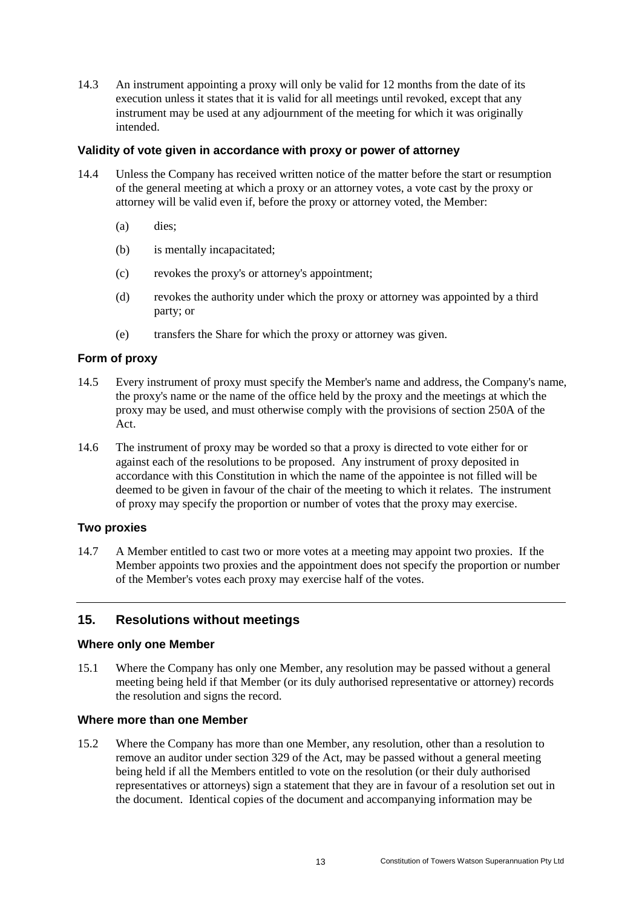14.3 An instrument appointing a proxy will only be valid for 12 months from the date of its execution unless it states that it is valid for all meetings until revoked, except that any instrument may be used at any adjournment of the meeting for which it was originally intended.

#### **Validity of vote given in accordance with proxy or power of attorney**

- 14.4 Unless the Company has received written notice of the matter before the start or resumption of the general meeting at which a proxy or an attorney votes, a vote cast by the proxy or attorney will be valid even if, before the proxy or attorney voted, the Member:
	- (a) dies;
	- (b) is mentally incapacitated;
	- (c) revokes the proxy's or attorney's appointment;
	- (d) revokes the authority under which the proxy or attorney was appointed by a third party; or
	- (e) transfers the Share for which the proxy or attorney was given.

#### **Form of proxy**

- 14.5 Every instrument of proxy must specify the Member's name and address, the Company's name, the proxy's name or the name of the office held by the proxy and the meetings at which the proxy may be used, and must otherwise comply with the provisions of section 250A of the Act.
- 14.6 The instrument of proxy may be worded so that a proxy is directed to vote either for or against each of the resolutions to be proposed. Any instrument of proxy deposited in accordance with this Constitution in which the name of the appointee is not filled will be deemed to be given in favour of the chair of the meeting to which it relates. The instrument of proxy may specify the proportion or number of votes that the proxy may exercise.

#### **Two proxies**

14.7 A Member entitled to cast two or more votes at a meeting may appoint two proxies. If the Member appoints two proxies and the appointment does not specify the proportion or number of the Member's votes each proxy may exercise half of the votes.

## <span id="page-15-0"></span>**15. Resolutions without meetings**

#### **Where only one Member**

15.1 Where the Company has only one Member, any resolution may be passed without a general meeting being held if that Member (or its duly authorised representative or attorney) records the resolution and signs the record.

#### **Where more than one Member**

15.2 Where the Company has more than one Member, any resolution, other than a resolution to remove an auditor under section 329 of the Act, may be passed without a general meeting being held if all the Members entitled to vote on the resolution (or their duly authorised representatives or attorneys) sign a statement that they are in favour of a resolution set out in the document. Identical copies of the document and accompanying information may be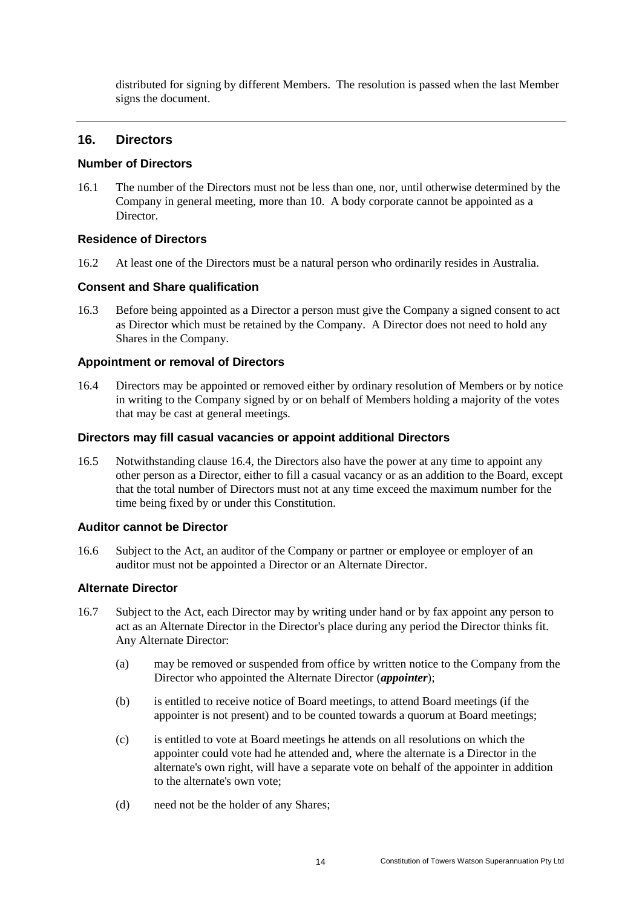distributed for signing by different Members. The resolution is passed when the last Member signs the document.

## <span id="page-16-0"></span>**16. Directors**

#### **Number of Directors**

16.1 The number of the Directors must not be less than one, nor, until otherwise determined by the Company in general meeting, more than 10. A body corporate cannot be appointed as a Director.

## **Residence of Directors**

16.2 At least one of the Directors must be a natural person who ordinarily resides in Australia.

#### **Consent and Share qualification**

16.3 Before being appointed as a Director a person must give the Company a signed consent to act as Director which must be retained by the Company. A Director does not need to hold any Shares in the Company.

#### **Appointment or removal of Directors**

<span id="page-16-2"></span>16.4 Directors may be appointed or removed either by ordinary resolution of Members or by notice in writing to the Company signed by or on behalf of Members holding a majority of the votes that may be cast at general meetings.

#### **Directors may fill casual vacancies or appoint additional Directors**

16.5 Notwithstanding clause [16.4,](#page-16-2) the Directors also have the power at any time to appoint any other person as a Director, either to fill a casual vacancy or as an addition to the Board, except that the total number of Directors must not at any time exceed the maximum number for the time being fixed by or under this Constitution.

#### **Auditor cannot be Director**

16.6 Subject to the Act, an auditor of the Company or partner or employee or employer of an auditor must not be appointed a Director or an Alternate Director.

# **Alternate Director**

- <span id="page-16-1"></span>16.7 Subject to the Act, each Director may by writing under hand or by fax appoint any person to act as an Alternate Director in the Director's place during any period the Director thinks fit. Any Alternate Director:
	- (a) may be removed or suspended from office by written notice to the Company from the Director who appointed the Alternate Director (*appointer*);
	- (b) is entitled to receive notice of Board meetings, to attend Board meetings (if the appointer is not present) and to be counted towards a quorum at Board meetings;
	- (c) is entitled to vote at Board meetings he attends on all resolutions on which the appointer could vote had he attended and, where the alternate is a Director in the alternate's own right, will have a separate vote on behalf of the appointer in addition to the alternate's own vote;
	- (d) need not be the holder of any Shares;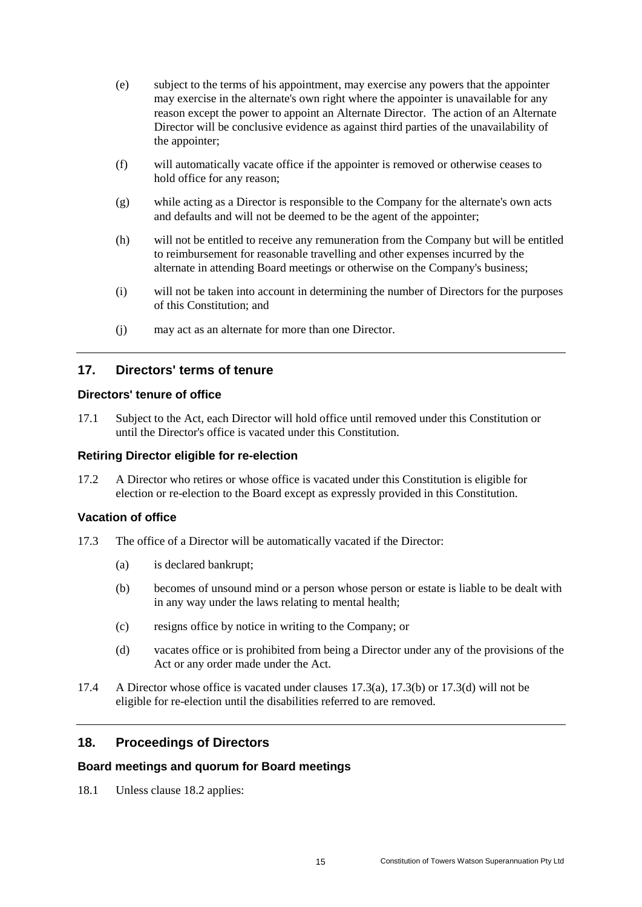- (e) subject to the terms of his appointment, may exercise any powers that the appointer may exercise in the alternate's own right where the appointer is unavailable for any reason except the power to appoint an Alternate Director. The action of an Alternate Director will be conclusive evidence as against third parties of the unavailability of the appointer;
- (f) will automatically vacate office if the appointer is removed or otherwise ceases to hold office for any reason;
- (g) while acting as a Director is responsible to the Company for the alternate's own acts and defaults and will not be deemed to be the agent of the appointer;
- (h) will not be entitled to receive any remuneration from the Company but will be entitled to reimbursement for reasonable travelling and other expenses incurred by the alternate in attending Board meetings or otherwise on the Company's business;
- (i) will not be taken into account in determining the number of Directors for the purposes of this Constitution; and
- (j) may act as an alternate for more than one Director.

## <span id="page-17-0"></span>**17. Directors' terms of tenure**

#### **Directors' tenure of office**

17.1 Subject to the Act, each Director will hold office until removed under this Constitution or until the Director's office is vacated under this Constitution.

#### **Retiring Director eligible for re-election**

17.2 A Director who retires or whose office is vacated under this Constitution is eligible for election or re-election to the Board except as expressly provided in this Constitution.

#### **Vacation of office**

- <span id="page-17-3"></span><span id="page-17-2"></span>17.3 The office of a Director will be automatically vacated if the Director:
	- (a) is declared bankrupt;
	- (b) becomes of unsound mind or a person whose person or estate is liable to be dealt with in any way under the laws relating to mental health;
	- (c) resigns office by notice in writing to the Company; or
	- (d) vacates office or is prohibited from being a Director under any of the provisions of the Act or any order made under the Act.
- <span id="page-17-4"></span>17.4 A Director whose office is vacated under clauses [17.3\(a\),](#page-17-2) [17.3\(b\)](#page-17-3) or [17.3\(d\)](#page-17-4) will not be eligible for re-election until the disabilities referred to are removed.

#### <span id="page-17-1"></span>**18. Proceedings of Directors**

#### **Board meetings and quorum for Board meetings**

18.1 Unless clause [18.2](#page-18-0) applies: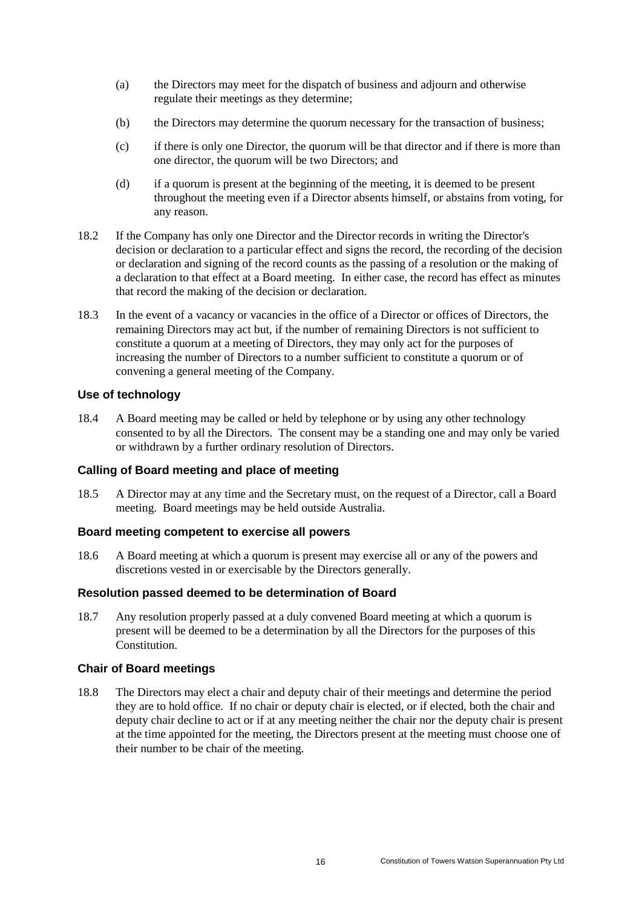- (a) the Directors may meet for the dispatch of business and adjourn and otherwise regulate their meetings as they determine;
- (b) the Directors may determine the quorum necessary for the transaction of business;
- (c) if there is only one Director, the quorum will be that director and if there is more than one director, the quorum will be two Directors; and
- (d) if a quorum is present at the beginning of the meeting, it is deemed to be present throughout the meeting even if a Director absents himself, or abstains from voting, for any reason.
- <span id="page-18-0"></span>18.2 If the Company has only one Director and the Director records in writing the Director's decision or declaration to a particular effect and signs the record, the recording of the decision or declaration and signing of the record counts as the passing of a resolution or the making of a declaration to that effect at a Board meeting. In either case, the record has effect as minutes that record the making of the decision or declaration.
- 18.3 In the event of a vacancy or vacancies in the office of a Director or offices of Directors, the remaining Directors may act but, if the number of remaining Directors is not sufficient to constitute a quorum at a meeting of Directors, they may only act for the purposes of increasing the number of Directors to a number sufficient to constitute a quorum or of convening a general meeting of the Company.

## **Use of technology**

18.4 A Board meeting may be called or held by telephone or by using any other technology consented to by all the Directors. The consent may be a standing one and may only be varied or withdrawn by a further ordinary resolution of Directors.

## **Calling of Board meeting and place of meeting**

18.5 A Director may at any time and the Secretary must, on the request of a Director, call a Board meeting. Board meetings may be held outside Australia.

## **Board meeting competent to exercise all powers**

18.6 A Board meeting at which a quorum is present may exercise all or any of the powers and discretions vested in or exercisable by the Directors generally.

## **Resolution passed deemed to be determination of Board**

18.7 Any resolution properly passed at a duly convened Board meeting at which a quorum is present will be deemed to be a determination by all the Directors for the purposes of this **Constitution** 

## **Chair of Board meetings**

18.8 The Directors may elect a chair and deputy chair of their meetings and determine the period they are to hold office. If no chair or deputy chair is elected, or if elected, both the chair and deputy chair decline to act or if at any meeting neither the chair nor the deputy chair is present at the time appointed for the meeting, the Directors present at the meeting must choose one of their number to be chair of the meeting.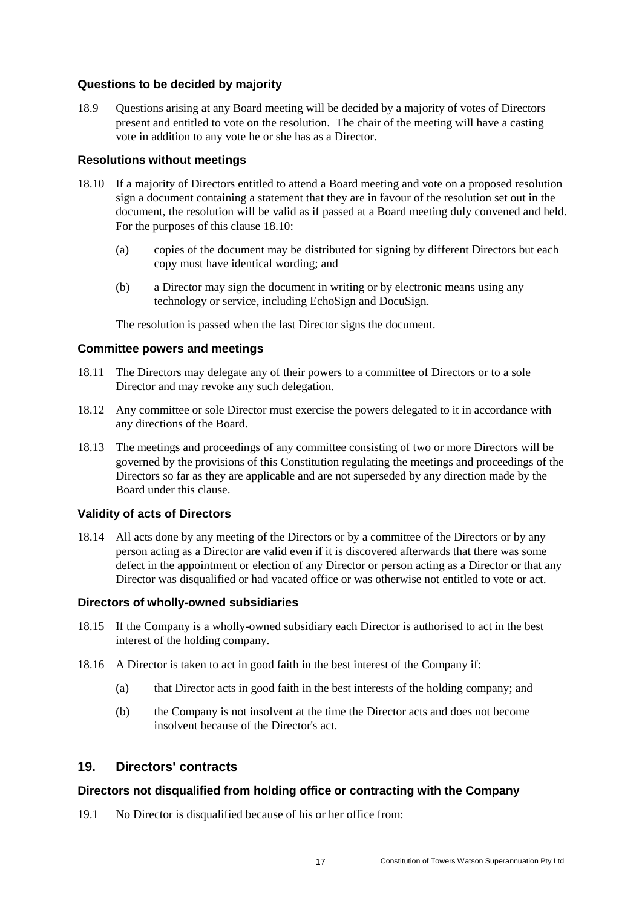#### **Questions to be decided by majority**

18.9 Questions arising at any Board meeting will be decided by a majority of votes of Directors present and entitled to vote on the resolution. The chair of the meeting will have a casting vote in addition to any vote he or she has as a Director.

#### **Resolutions without meetings**

- <span id="page-19-1"></span>18.10 If a majority of Directors entitled to attend a Board meeting and vote on a proposed resolution sign a document containing a statement that they are in favour of the resolution set out in the document, the resolution will be valid as if passed at a Board meeting duly convened and held. For the purposes of this clause [18.10:](#page-19-1)
	- (a) copies of the document may be distributed for signing by different Directors but each copy must have identical wording; and
	- (b) a Director may sign the document in writing or by electronic means using any technology or service, including EchoSign and DocuSign.

The resolution is passed when the last Director signs the document.

#### **Committee powers and meetings**

- 18.11 The Directors may delegate any of their powers to a committee of Directors or to a sole Director and may revoke any such delegation.
- 18.12 Any committee or sole Director must exercise the powers delegated to it in accordance with any directions of the Board.
- 18.13 The meetings and proceedings of any committee consisting of two or more Directors will be governed by the provisions of this Constitution regulating the meetings and proceedings of the Directors so far as they are applicable and are not superseded by any direction made by the Board under this clause.

#### **Validity of acts of Directors**

18.14 All acts done by any meeting of the Directors or by a committee of the Directors or by any person acting as a Director are valid even if it is discovered afterwards that there was some defect in the appointment or election of any Director or person acting as a Director or that any Director was disqualified or had vacated office or was otherwise not entitled to vote or act.

## **Directors of wholly-owned subsidiaries**

- 18.15 If the Company is a wholly-owned subsidiary each Director is authorised to act in the best interest of the holding company.
- 18.16 A Director is taken to act in good faith in the best interest of the Company if:
	- (a) that Director acts in good faith in the best interests of the holding company; and
	- (b) the Company is not insolvent at the time the Director acts and does not become insolvent because of the Director's act.

## <span id="page-19-0"></span>**19. Directors' contracts**

#### **Directors not disqualified from holding office or contracting with the Company**

19.1 No Director is disqualified because of his or her office from: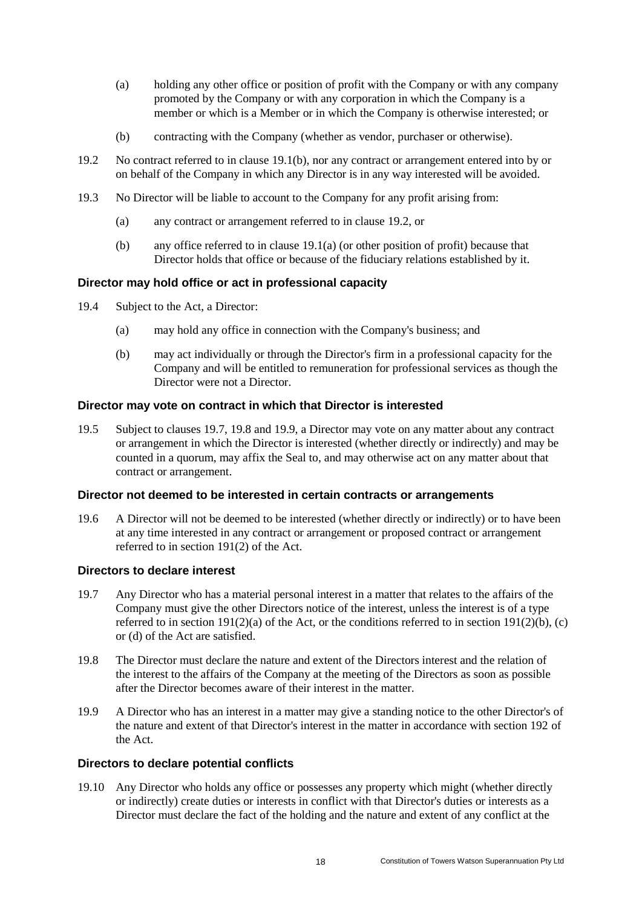- <span id="page-20-2"></span>(a) holding any other office or position of profit with the Company or with any company promoted by the Company or with any corporation in which the Company is a member or which is a Member or in which the Company is otherwise interested; or
- (b) contracting with the Company (whether as vendor, purchaser or otherwise).
- <span id="page-20-1"></span><span id="page-20-0"></span>19.2 No contract referred to in clause [19.1\(b\),](#page-20-0) nor any contract or arrangement entered into by or on behalf of the Company in which any Director is in any way interested will be avoided.
- 19.3 No Director will be liable to account to the Company for any profit arising from:
	- (a) any contract or arrangement referred to in clause [19.2,](#page-20-1) or
	- (b) any office referred to in clause [19.1\(a\)](#page-20-2) (or other position of profit) because that Director holds that office or because of the fiduciary relations established by it.

## **Director may hold office or act in professional capacity**

- 19.4 Subject to the Act, a Director:
	- (a) may hold any office in connection with the Company's business; and
	- (b) may act individually or through the Director's firm in a professional capacity for the Company and will be entitled to remuneration for professional services as though the Director were not a Director.

## **Director may vote on contract in which that Director is interested**

19.5 Subject to clauses [19.7,](#page-20-3) [19.8](#page-20-4) and [19.9,](#page-20-5) a Director may vote on any matter about any contract or arrangement in which the Director is interested (whether directly or indirectly) and may be counted in a quorum, may affix the Seal to, and may otherwise act on any matter about that contract or arrangement.

## **Director not deemed to be interested in certain contracts or arrangements**

19.6 A Director will not be deemed to be interested (whether directly or indirectly) or to have been at any time interested in any contract or arrangement or proposed contract or arrangement referred to in section 191(2) of the Act.

## **Directors to declare interest**

- <span id="page-20-3"></span>19.7 Any Director who has a material personal interest in a matter that relates to the affairs of the Company must give the other Directors notice of the interest, unless the interest is of a type referred to in section 191(2)(a) of the Act, or the conditions referred to in section 191(2)(b), (c) or (d) of the Act are satisfied.
- <span id="page-20-4"></span>19.8 The Director must declare the nature and extent of the Directors interest and the relation of the interest to the affairs of the Company at the meeting of the Directors as soon as possible after the Director becomes aware of their interest in the matter.
- <span id="page-20-5"></span>19.9 A Director who has an interest in a matter may give a standing notice to the other Director's of the nature and extent of that Director's interest in the matter in accordance with section 192 of the Act.

## **Directors to declare potential conflicts**

19.10 Any Director who holds any office or possesses any property which might (whether directly or indirectly) create duties or interests in conflict with that Director's duties or interests as a Director must declare the fact of the holding and the nature and extent of any conflict at the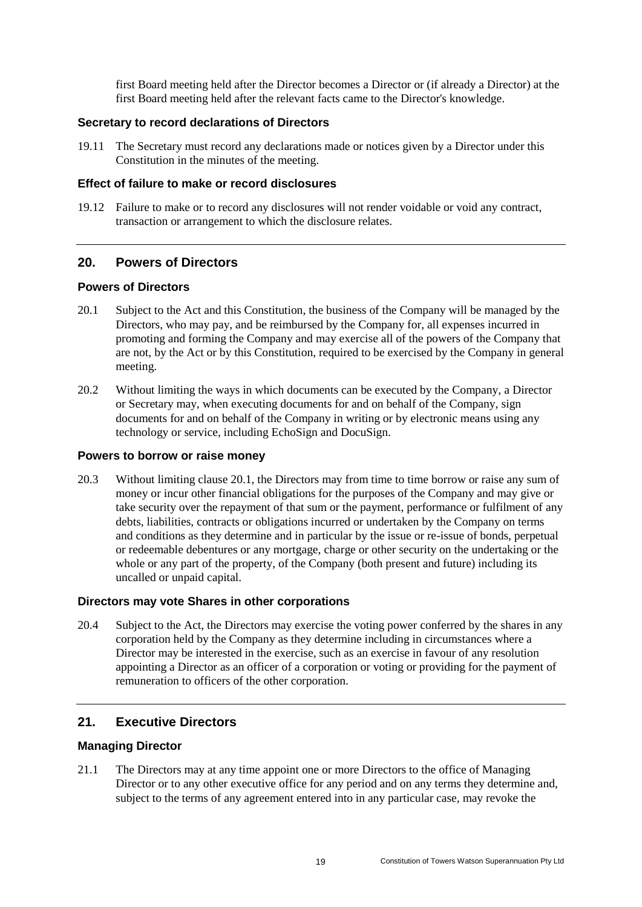first Board meeting held after the Director becomes a Director or (if already a Director) at the first Board meeting held after the relevant facts came to the Director's knowledge.

#### **Secretary to record declarations of Directors**

19.11 The Secretary must record any declarations made or notices given by a Director under this Constitution in the minutes of the meeting.

#### **Effect of failure to make or record disclosures**

19.12 Failure to make or to record any disclosures will not render voidable or void any contract, transaction or arrangement to which the disclosure relates.

#### <span id="page-21-0"></span>**20. Powers of Directors**

#### **Powers of Directors**

- <span id="page-21-2"></span>20.1 Subject to the Act and this Constitution, the business of the Company will be managed by the Directors, who may pay, and be reimbursed by the Company for, all expenses incurred in promoting and forming the Company and may exercise all of the powers of the Company that are not, by the Act or by this Constitution, required to be exercised by the Company in general meeting.
- 20.2 Without limiting the ways in which documents can be executed by the Company, a Director or Secretary may, when executing documents for and on behalf of the Company, sign documents for and on behalf of the Company in writing or by electronic means using any technology or service, including EchoSign and DocuSign.

#### **Powers to borrow or raise money**

20.3 Without limiting clause [20.1,](#page-21-2) the Directors may from time to time borrow or raise any sum of money or incur other financial obligations for the purposes of the Company and may give or take security over the repayment of that sum or the payment, performance or fulfilment of any debts, liabilities, contracts or obligations incurred or undertaken by the Company on terms and conditions as they determine and in particular by the issue or re-issue of bonds, perpetual or redeemable debentures or any mortgage, charge or other security on the undertaking or the whole or any part of the property, of the Company (both present and future) including its uncalled or unpaid capital.

## **Directors may vote Shares in other corporations**

20.4 Subject to the Act, the Directors may exercise the voting power conferred by the shares in any corporation held by the Company as they determine including in circumstances where a Director may be interested in the exercise, such as an exercise in favour of any resolution appointing a Director as an officer of a corporation or voting or providing for the payment of remuneration to officers of the other corporation.

## <span id="page-21-1"></span>**21. Executive Directors**

#### **Managing Director**

21.1 The Directors may at any time appoint one or more Directors to the office of Managing Director or to any other executive office for any period and on any terms they determine and, subject to the terms of any agreement entered into in any particular case, may revoke the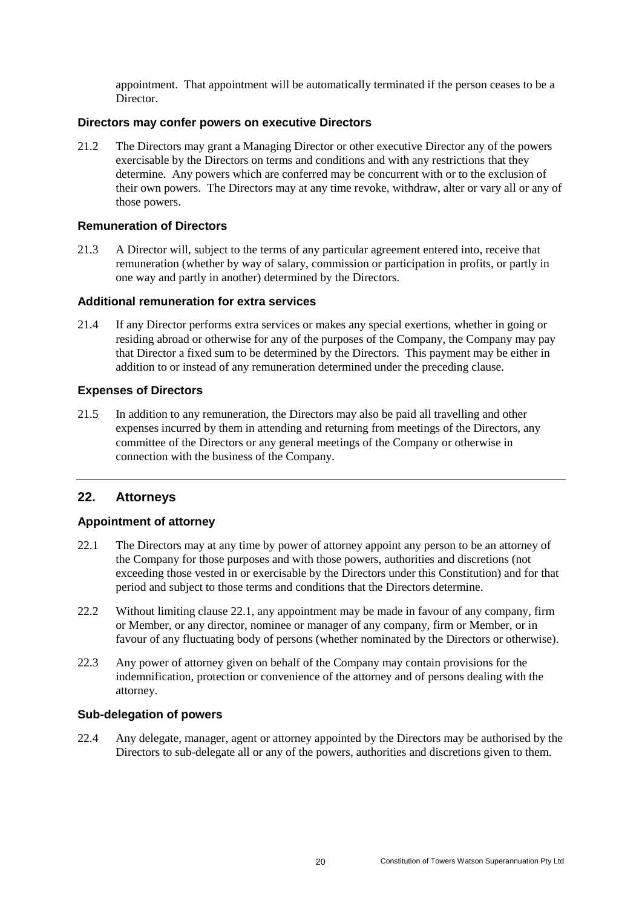appointment. That appointment will be automatically terminated if the person ceases to be a Director.

#### **Directors may confer powers on executive Directors**

21.2 The Directors may grant a Managing Director or other executive Director any of the powers exercisable by the Directors on terms and conditions and with any restrictions that they determine. Any powers which are conferred may be concurrent with or to the exclusion of their own powers. The Directors may at any time revoke, withdraw, alter or vary all or any of those powers.

#### **Remuneration of Directors**

21.3 A Director will, subject to the terms of any particular agreement entered into, receive that remuneration (whether by way of salary, commission or participation in profits, or partly in one way and partly in another) determined by the Directors.

#### **Additional remuneration for extra services**

21.4 If any Director performs extra services or makes any special exertions, whether in going or residing abroad or otherwise for any of the purposes of the Company, the Company may pay that Director a fixed sum to be determined by the Directors. This payment may be either in addition to or instead of any remuneration determined under the preceding clause.

## **Expenses of Directors**

21.5 In addition to any remuneration, the Directors may also be paid all travelling and other expenses incurred by them in attending and returning from meetings of the Directors, any committee of the Directors or any general meetings of the Company or otherwise in connection with the business of the Company.

# <span id="page-22-0"></span>**22. Attorneys**

## **Appointment of attorney**

- <span id="page-22-1"></span>22.1 The Directors may at any time by power of attorney appoint any person to be an attorney of the Company for those purposes and with those powers, authorities and discretions (not exceeding those vested in or exercisable by the Directors under this Constitution) and for that period and subject to those terms and conditions that the Directors determine.
- 22.2 Without limiting clause [22.1,](#page-22-1) any appointment may be made in favour of any company, firm or Member, or any director, nominee or manager of any company, firm or Member, or in favour of any fluctuating body of persons (whether nominated by the Directors or otherwise).
- 22.3 Any power of attorney given on behalf of the Company may contain provisions for the indemnification, protection or convenience of the attorney and of persons dealing with the attorney.

## **Sub-delegation of powers**

22.4 Any delegate, manager, agent or attorney appointed by the Directors may be authorised by the Directors to sub-delegate all or any of the powers, authorities and discretions given to them.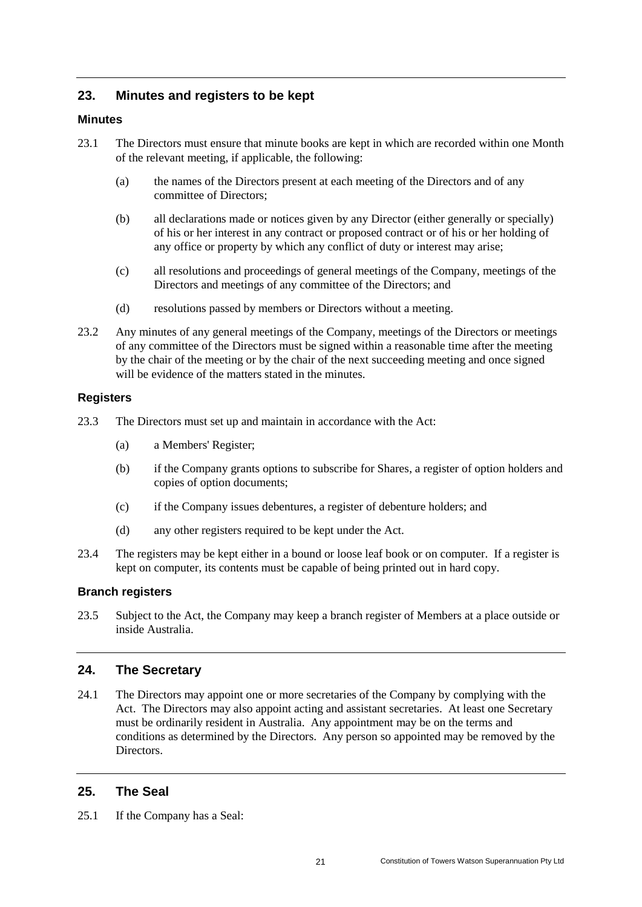# <span id="page-23-0"></span>**23. Minutes and registers to be kept**

## **Minutes**

- 23.1 The Directors must ensure that minute books are kept in which are recorded within one Month of the relevant meeting, if applicable, the following:
	- (a) the names of the Directors present at each meeting of the Directors and of any committee of Directors;
	- (b) all declarations made or notices given by any Director (either generally or specially) of his or her interest in any contract or proposed contract or of his or her holding of any office or property by which any conflict of duty or interest may arise;
	- (c) all resolutions and proceedings of general meetings of the Company, meetings of the Directors and meetings of any committee of the Directors; and
	- (d) resolutions passed by members or Directors without a meeting.
- 23.2 Any minutes of any general meetings of the Company, meetings of the Directors or meetings of any committee of the Directors must be signed within a reasonable time after the meeting by the chair of the meeting or by the chair of the next succeeding meeting and once signed will be evidence of the matters stated in the minutes.

#### **Registers**

- 23.3 The Directors must set up and maintain in accordance with the Act:
	- (a) a Members' Register;
	- (b) if the Company grants options to subscribe for Shares, a register of option holders and copies of option documents;
	- (c) if the Company issues debentures, a register of debenture holders; and
	- (d) any other registers required to be kept under the Act.
- 23.4 The registers may be kept either in a bound or loose leaf book or on computer. If a register is kept on computer, its contents must be capable of being printed out in hard copy.

#### **Branch registers**

23.5 Subject to the Act, the Company may keep a branch register of Members at a place outside or inside Australia.

#### <span id="page-23-1"></span>**24. The Secretary**

24.1 The Directors may appoint one or more secretaries of the Company by complying with the Act. The Directors may also appoint acting and assistant secretaries. At least one Secretary must be ordinarily resident in Australia. Any appointment may be on the terms and conditions as determined by the Directors. Any person so appointed may be removed by the Directors.

## <span id="page-23-2"></span>**25. The Seal**

25.1 If the Company has a Seal: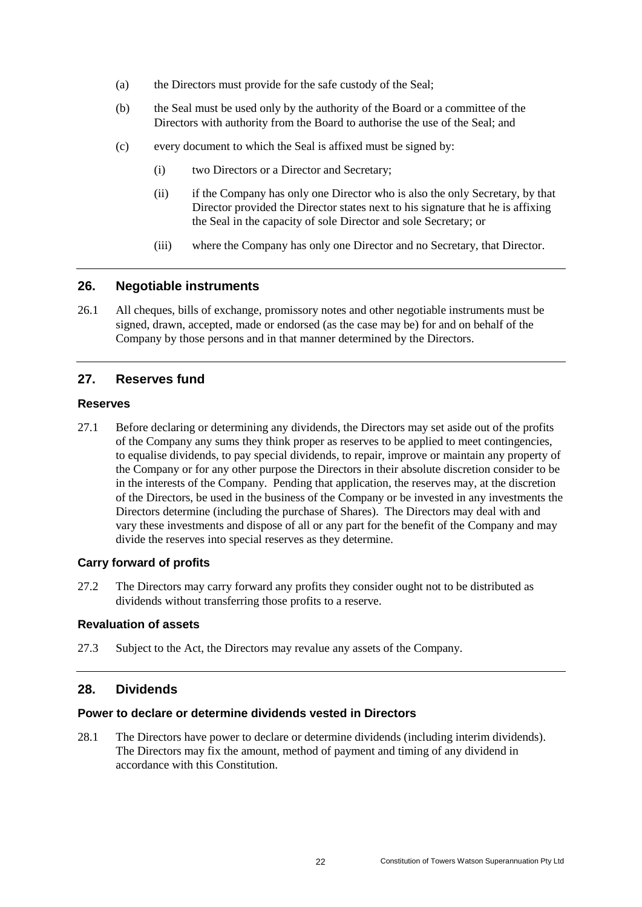- (a) the Directors must provide for the safe custody of the Seal;
- (b) the Seal must be used only by the authority of the Board or a committee of the Directors with authority from the Board to authorise the use of the Seal; and
- (c) every document to which the Seal is affixed must be signed by:
	- (i) two Directors or a Director and Secretary;
	- (ii) if the Company has only one Director who is also the only Secretary, by that Director provided the Director states next to his signature that he is affixing the Seal in the capacity of sole Director and sole Secretary; or
	- (iii) where the Company has only one Director and no Secretary, that Director.

#### <span id="page-24-0"></span>**26. Negotiable instruments**

26.1 All cheques, bills of exchange, promissory notes and other negotiable instruments must be signed, drawn, accepted, made or endorsed (as the case may be) for and on behalf of the Company by those persons and in that manner determined by the Directors.

## <span id="page-24-1"></span>**27. Reserves fund**

#### **Reserves**

27.1 Before declaring or determining any dividends, the Directors may set aside out of the profits of the Company any sums they think proper as reserves to be applied to meet contingencies, to equalise dividends, to pay special dividends, to repair, improve or maintain any property of the Company or for any other purpose the Directors in their absolute discretion consider to be in the interests of the Company. Pending that application, the reserves may, at the discretion of the Directors, be used in the business of the Company or be invested in any investments the Directors determine (including the purchase of Shares). The Directors may deal with and vary these investments and dispose of all or any part for the benefit of the Company and may divide the reserves into special reserves as they determine.

#### **Carry forward of profits**

27.2 The Directors may carry forward any profits they consider ought not to be distributed as dividends without transferring those profits to a reserve.

#### **Revaluation of assets**

27.3 Subject to the Act, the Directors may revalue any assets of the Company.

# <span id="page-24-2"></span>**28. Dividends**

#### **Power to declare or determine dividends vested in Directors**

28.1 The Directors have power to declare or determine dividends (including interim dividends). The Directors may fix the amount, method of payment and timing of any dividend in accordance with this Constitution.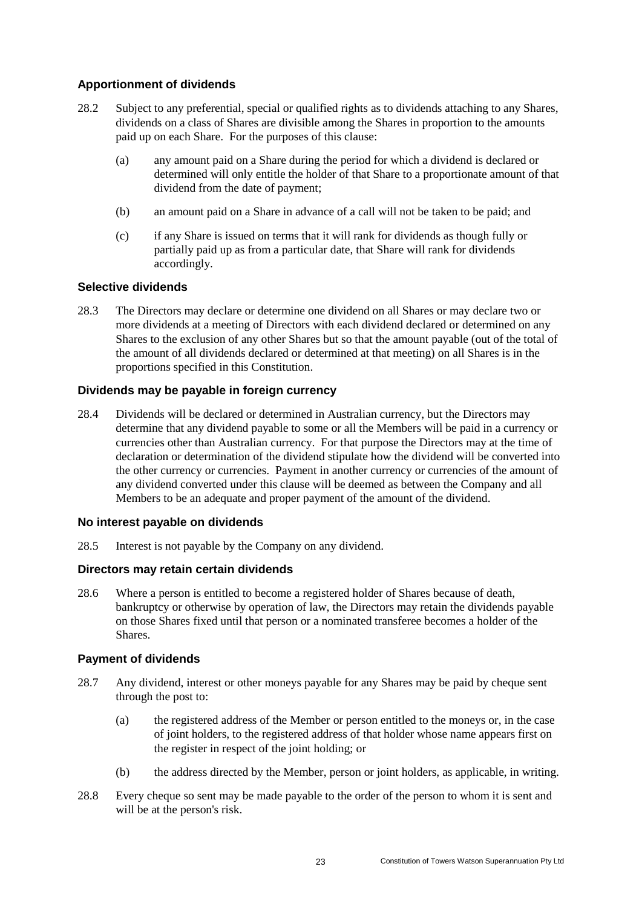## **Apportionment of dividends**

- 28.2 Subject to any preferential, special or qualified rights as to dividends attaching to any Shares, dividends on a class of Shares are divisible among the Shares in proportion to the amounts paid up on each Share. For the purposes of this clause:
	- (a) any amount paid on a Share during the period for which a dividend is declared or determined will only entitle the holder of that Share to a proportionate amount of that dividend from the date of payment;
	- (b) an amount paid on a Share in advance of a call will not be taken to be paid; and
	- (c) if any Share is issued on terms that it will rank for dividends as though fully or partially paid up as from a particular date, that Share will rank for dividends accordingly.

# **Selective dividends**

28.3 The Directors may declare or determine one dividend on all Shares or may declare two or more dividends at a meeting of Directors with each dividend declared or determined on any Shares to the exclusion of any other Shares but so that the amount payable (out of the total of the amount of all dividends declared or determined at that meeting) on all Shares is in the proportions specified in this Constitution.

# **Dividends may be payable in foreign currency**

28.4 Dividends will be declared or determined in Australian currency, but the Directors may determine that any dividend payable to some or all the Members will be paid in a currency or currencies other than Australian currency. For that purpose the Directors may at the time of declaration or determination of the dividend stipulate how the dividend will be converted into the other currency or currencies. Payment in another currency or currencies of the amount of any dividend converted under this clause will be deemed as between the Company and all Members to be an adequate and proper payment of the amount of the dividend.

## **No interest payable on dividends**

28.5 Interest is not payable by the Company on any dividend.

## **Directors may retain certain dividends**

28.6 Where a person is entitled to become a registered holder of Shares because of death, bankruptcy or otherwise by operation of law, the Directors may retain the dividends payable on those Shares fixed until that person or a nominated transferee becomes a holder of the Shares.

## **Payment of dividends**

- 28.7 Any dividend, interest or other moneys payable for any Shares may be paid by cheque sent through the post to:
	- (a) the registered address of the Member or person entitled to the moneys or, in the case of joint holders, to the registered address of that holder whose name appears first on the register in respect of the joint holding; or
	- (b) the address directed by the Member, person or joint holders, as applicable, in writing.
- 28.8 Every cheque so sent may be made payable to the order of the person to whom it is sent and will be at the person's risk.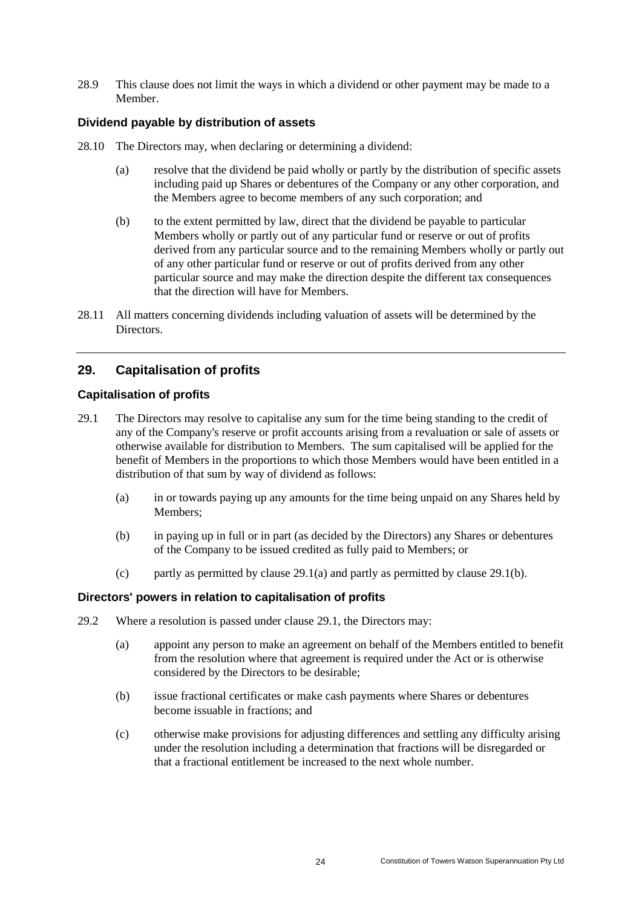28.9 This clause does not limit the ways in which a dividend or other payment may be made to a Member.

#### **Dividend payable by distribution of assets**

- 28.10 The Directors may, when declaring or determining a dividend:
	- (a) resolve that the dividend be paid wholly or partly by the distribution of specific assets including paid up Shares or debentures of the Company or any other corporation, and the Members agree to become members of any such corporation; and
	- (b) to the extent permitted by law, direct that the dividend be payable to particular Members wholly or partly out of any particular fund or reserve or out of profits derived from any particular source and to the remaining Members wholly or partly out of any other particular fund or reserve or out of profits derived from any other particular source and may make the direction despite the different tax consequences that the direction will have for Members.
- 28.11 All matters concerning dividends including valuation of assets will be determined by the Directors.

# <span id="page-26-0"></span>**29. Capitalisation of profits**

#### **Capitalisation of profits**

- <span id="page-26-3"></span><span id="page-26-1"></span>29.1 The Directors may resolve to capitalise any sum for the time being standing to the credit of any of the Company's reserve or profit accounts arising from a revaluation or sale of assets or otherwise available for distribution to Members. The sum capitalised will be applied for the benefit of Members in the proportions to which those Members would have been entitled in a distribution of that sum by way of dividend as follows:
	- (a) in or towards paying up any amounts for the time being unpaid on any Shares held by Members;
	- (b) in paying up in full or in part (as decided by the Directors) any Shares or debentures of the Company to be issued credited as fully paid to Members; or
	- (c) partly as permitted by clause [29.1\(a\)](#page-26-1) and partly as permitted by clause [29.1\(b\).](#page-26-2)

#### <span id="page-26-2"></span>**Directors' powers in relation to capitalisation of profits**

- 29.2 Where a resolution is passed under clause [29.1,](#page-26-3) the Directors may:
	- (a) appoint any person to make an agreement on behalf of the Members entitled to benefit from the resolution where that agreement is required under the Act or is otherwise considered by the Directors to be desirable;
	- (b) issue fractional certificates or make cash payments where Shares or debentures become issuable in fractions; and
	- (c) otherwise make provisions for adjusting differences and settling any difficulty arising under the resolution including a determination that fractions will be disregarded or that a fractional entitlement be increased to the next whole number.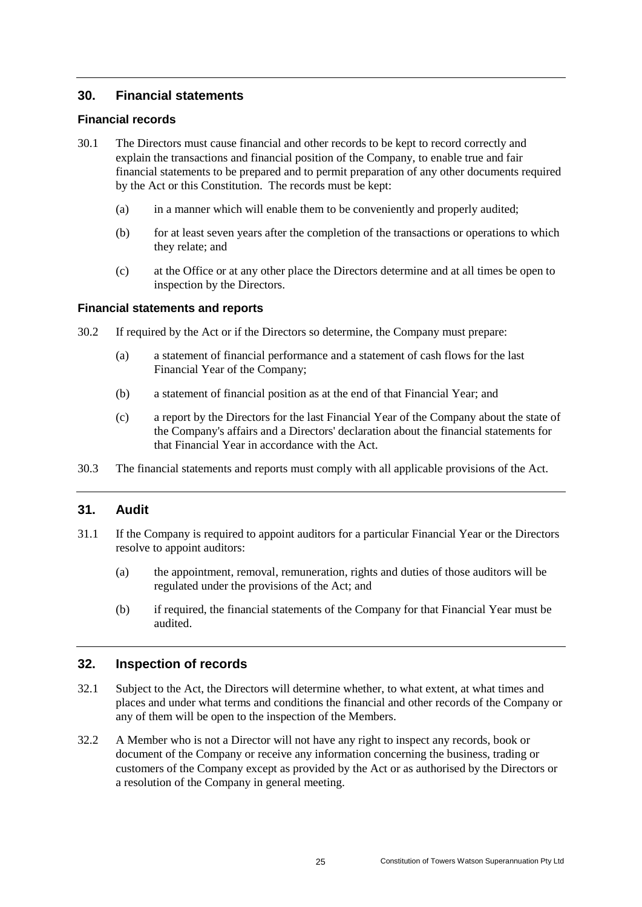# <span id="page-27-0"></span>**30. Financial statements**

#### **Financial records**

- 30.1 The Directors must cause financial and other records to be kept to record correctly and explain the transactions and financial position of the Company, to enable true and fair financial statements to be prepared and to permit preparation of any other documents required by the Act or this Constitution. The records must be kept:
	- (a) in a manner which will enable them to be conveniently and properly audited;
	- (b) for at least seven years after the completion of the transactions or operations to which they relate; and
	- (c) at the Office or at any other place the Directors determine and at all times be open to inspection by the Directors.

#### **Financial statements and reports**

- 30.2 If required by the Act or if the Directors so determine, the Company must prepare:
	- (a) a statement of financial performance and a statement of cash flows for the last Financial Year of the Company;
	- (b) a statement of financial position as at the end of that Financial Year; and
	- (c) a report by the Directors for the last Financial Year of the Company about the state of the Company's affairs and a Directors' declaration about the financial statements for that Financial Year in accordance with the Act.
- 30.3 The financial statements and reports must comply with all applicable provisions of the Act.

## <span id="page-27-1"></span>**31. Audit**

- 31.1 If the Company is required to appoint auditors for a particular Financial Year or the Directors resolve to appoint auditors:
	- (a) the appointment, removal, remuneration, rights and duties of those auditors will be regulated under the provisions of the Act; and
	- (b) if required, the financial statements of the Company for that Financial Year must be audited.

## <span id="page-27-2"></span>**32. Inspection of records**

- 32.1 Subject to the Act, the Directors will determine whether, to what extent, at what times and places and under what terms and conditions the financial and other records of the Company or any of them will be open to the inspection of the Members.
- 32.2 A Member who is not a Director will not have any right to inspect any records, book or document of the Company or receive any information concerning the business, trading or customers of the Company except as provided by the Act or as authorised by the Directors or a resolution of the Company in general meeting.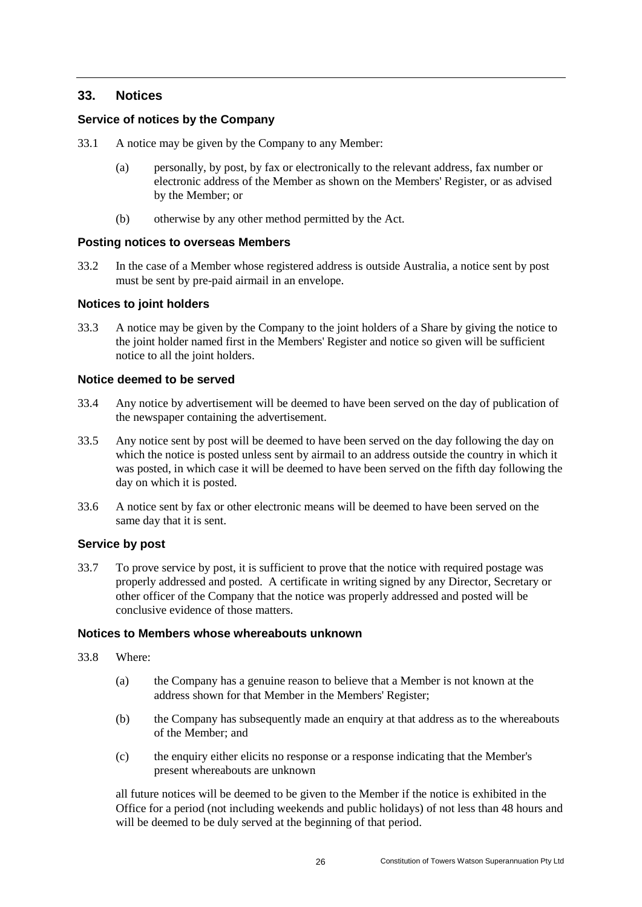# <span id="page-28-0"></span>**33. Notices**

#### **Service of notices by the Company**

- 33.1 A notice may be given by the Company to any Member:
	- (a) personally, by post, by fax or electronically to the relevant address, fax number or electronic address of the Member as shown on the Members' Register, or as advised by the Member; or
	- (b) otherwise by any other method permitted by the Act.

#### **Posting notices to overseas Members**

33.2 In the case of a Member whose registered address is outside Australia, a notice sent by post must be sent by pre-paid airmail in an envelope.

#### **Notices to joint holders**

33.3 A notice may be given by the Company to the joint holders of a Share by giving the notice to the joint holder named first in the Members' Register and notice so given will be sufficient notice to all the joint holders.

#### **Notice deemed to be served**

- 33.4 Any notice by advertisement will be deemed to have been served on the day of publication of the newspaper containing the advertisement.
- 33.5 Any notice sent by post will be deemed to have been served on the day following the day on which the notice is posted unless sent by airmail to an address outside the country in which it was posted, in which case it will be deemed to have been served on the fifth day following the day on which it is posted.
- 33.6 A notice sent by fax or other electronic means will be deemed to have been served on the same day that it is sent.

#### **Service by post**

33.7 To prove service by post, it is sufficient to prove that the notice with required postage was properly addressed and posted. A certificate in writing signed by any Director, Secretary or other officer of the Company that the notice was properly addressed and posted will be conclusive evidence of those matters.

#### **Notices to Members whose whereabouts unknown**

- <span id="page-28-1"></span>33.8 Where:
	- (a) the Company has a genuine reason to believe that a Member is not known at the address shown for that Member in the Members' Register;
	- (b) the Company has subsequently made an enquiry at that address as to the whereabouts of the Member; and
	- (c) the enquiry either elicits no response or a response indicating that the Member's present whereabouts are unknown

all future notices will be deemed to be given to the Member if the notice is exhibited in the Office for a period (not including weekends and public holidays) of not less than 48 hours and will be deemed to be duly served at the beginning of that period.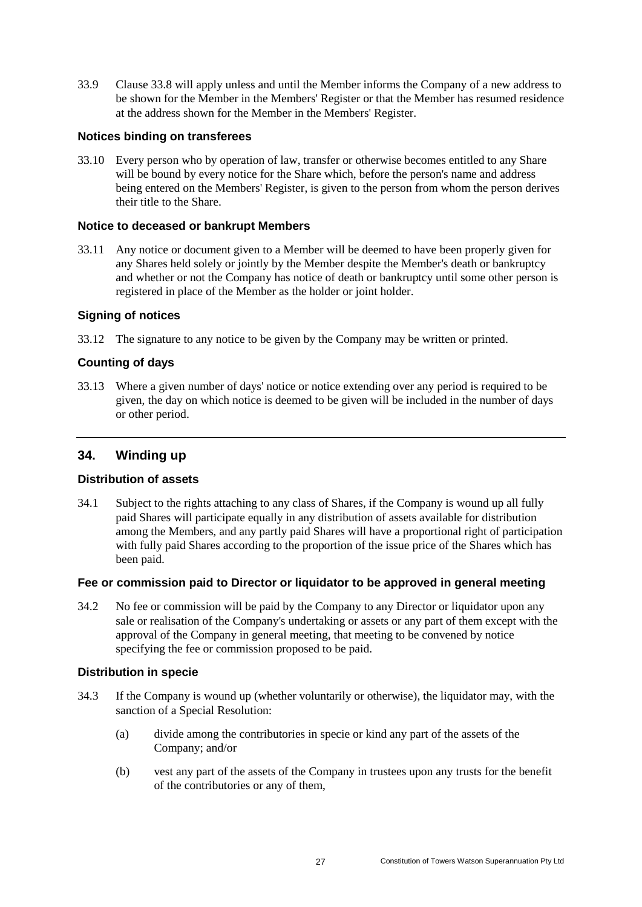33.9 Clause [33.8](#page-28-1) will apply unless and until the Member informs the Company of a new address to be shown for the Member in the Members' Register or that the Member has resumed residence at the address shown for the Member in the Members' Register.

#### **Notices binding on transferees**

33.10 Every person who by operation of law, transfer or otherwise becomes entitled to any Share will be bound by every notice for the Share which, before the person's name and address being entered on the Members' Register, is given to the person from whom the person derives their title to the Share.

#### **Notice to deceased or bankrupt Members**

33.11 Any notice or document given to a Member will be deemed to have been properly given for any Shares held solely or jointly by the Member despite the Member's death or bankruptcy and whether or not the Company has notice of death or bankruptcy until some other person is registered in place of the Member as the holder or joint holder.

#### **Signing of notices**

33.12 The signature to any notice to be given by the Company may be written or printed.

## **Counting of days**

33.13 Where a given number of days' notice or notice extending over any period is required to be given, the day on which notice is deemed to be given will be included in the number of days or other period.

## <span id="page-29-0"></span>**34. Winding up**

## **Distribution of assets**

34.1 Subject to the rights attaching to any class of Shares, if the Company is wound up all fully paid Shares will participate equally in any distribution of assets available for distribution among the Members, and any partly paid Shares will have a proportional right of participation with fully paid Shares according to the proportion of the issue price of the Shares which has been paid.

#### **Fee or commission paid to Director or liquidator to be approved in general meeting**

34.2 No fee or commission will be paid by the Company to any Director or liquidator upon any sale or realisation of the Company's undertaking or assets or any part of them except with the approval of the Company in general meeting, that meeting to be convened by notice specifying the fee or commission proposed to be paid.

## **Distribution in specie**

- <span id="page-29-1"></span>34.3 If the Company is wound up (whether voluntarily or otherwise), the liquidator may, with the sanction of a Special Resolution:
	- (a) divide among the contributories in specie or kind any part of the assets of the Company; and/or
	- (b) vest any part of the assets of the Company in trustees upon any trusts for the benefit of the contributories or any of them,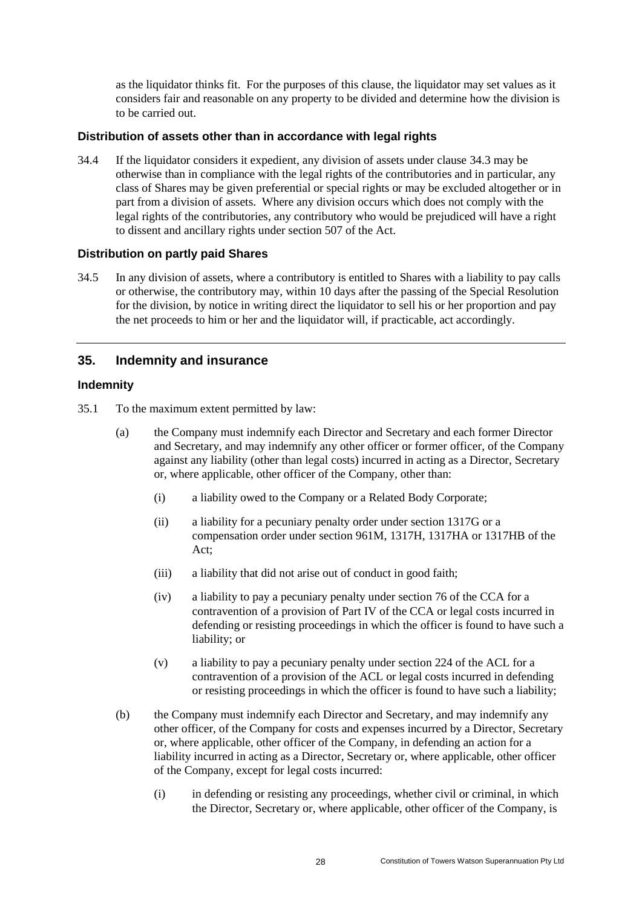as the liquidator thinks fit. For the purposes of this clause, the liquidator may set values as it considers fair and reasonable on any property to be divided and determine how the division is to be carried out.

#### **Distribution of assets other than in accordance with legal rights**

34.4 If the liquidator considers it expedient, any division of assets under clause [34.3](#page-29-1) may be otherwise than in compliance with the legal rights of the contributories and in particular, any class of Shares may be given preferential or special rights or may be excluded altogether or in part from a division of assets. Where any division occurs which does not comply with the legal rights of the contributories, any contributory who would be prejudiced will have a right to dissent and ancillary rights under section 507 of the Act.

#### **Distribution on partly paid Shares**

34.5 In any division of assets, where a contributory is entitled to Shares with a liability to pay calls or otherwise, the contributory may, within 10 days after the passing of the Special Resolution for the division, by notice in writing direct the liquidator to sell his or her proportion and pay the net proceeds to him or her and the liquidator will, if practicable, act accordingly.

# <span id="page-30-0"></span>**35. Indemnity and insurance**

#### **Indemnity**

<span id="page-30-2"></span><span id="page-30-1"></span>35.1 To the maximum extent permitted by law:

- (a) the Company must indemnify each Director and Secretary and each former Director and Secretary, and may indemnify any other officer or former officer, of the Company against any liability (other than legal costs) incurred in acting as a Director, Secretary or, where applicable, other officer of the Company, other than:
	- (i) a liability owed to the Company or a Related Body Corporate;
	- (ii) a liability for a pecuniary penalty order under section 1317G or a compensation order under section 961M, 1317H, 1317HA or 1317HB of the Act;
	- (iii) a liability that did not arise out of conduct in good faith;
	- (iv) a liability to pay a pecuniary penalty under section 76 of the CCA for a contravention of a provision of Part IV of the CCA or legal costs incurred in defending or resisting proceedings in which the officer is found to have such a liability; or
	- (v) a liability to pay a pecuniary penalty under section 224 of the ACL for a contravention of a provision of the ACL or legal costs incurred in defending or resisting proceedings in which the officer is found to have such a liability;
- (b) the Company must indemnify each Director and Secretary, and may indemnify any other officer, of the Company for costs and expenses incurred by a Director, Secretary or, where applicable, other officer of the Company, in defending an action for a liability incurred in acting as a Director, Secretary or, where applicable, other officer of the Company, except for legal costs incurred:
	- (i) in defending or resisting any proceedings, whether civil or criminal, in which the Director, Secretary or, where applicable, other officer of the Company, is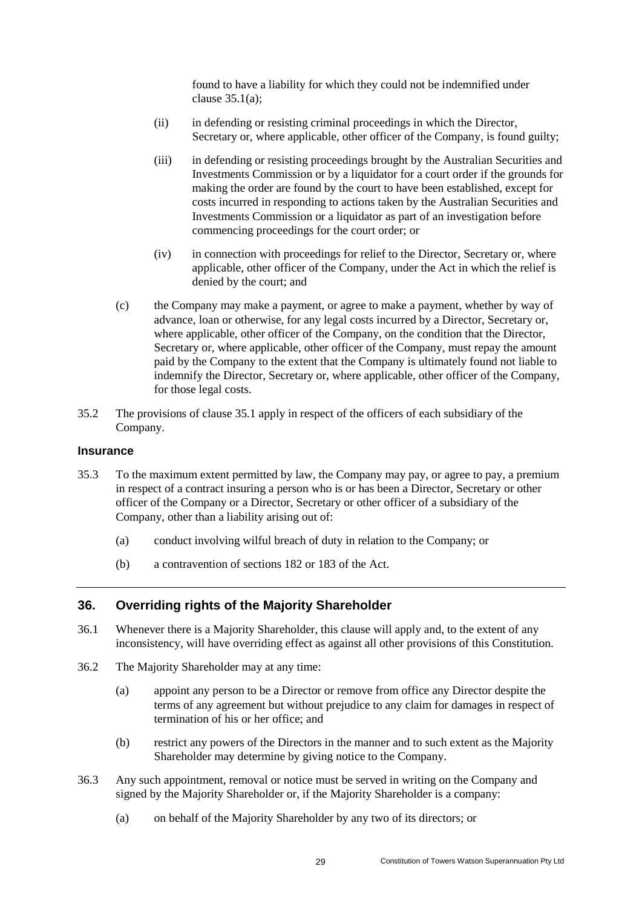found to have a liability for which they could not be indemnified under clause [35.1\(a\);](#page-30-1)

- (ii) in defending or resisting criminal proceedings in which the Director, Secretary or, where applicable, other officer of the Company, is found guilty;
- (iii) in defending or resisting proceedings brought by the Australian Securities and Investments Commission or by a liquidator for a court order if the grounds for making the order are found by the court to have been established, except for costs incurred in responding to actions taken by the Australian Securities and Investments Commission or a liquidator as part of an investigation before commencing proceedings for the court order; or
- (iv) in connection with proceedings for relief to the Director, Secretary or, where applicable, other officer of the Company, under the Act in which the relief is denied by the court; and
- (c) the Company may make a payment, or agree to make a payment, whether by way of advance, loan or otherwise, for any legal costs incurred by a Director, Secretary or, where applicable, other officer of the Company, on the condition that the Director, Secretary or, where applicable, other officer of the Company, must repay the amount paid by the Company to the extent that the Company is ultimately found not liable to indemnify the Director, Secretary or, where applicable, other officer of the Company, for those legal costs.
- 35.2 The provisions of clause [35.1](#page-30-2) apply in respect of the officers of each subsidiary of the Company.

#### **Insurance**

- 35.3 To the maximum extent permitted by law, the Company may pay, or agree to pay, a premium in respect of a contract insuring a person who is or has been a Director, Secretary or other officer of the Company or a Director, Secretary or other officer of a subsidiary of the Company, other than a liability arising out of:
	- (a) conduct involving wilful breach of duty in relation to the Company; or
	- (b) a contravention of sections 182 or 183 of the Act.

## <span id="page-31-0"></span>**36. Overriding rights of the Majority Shareholder**

- 36.1 Whenever there is a Majority Shareholder, this clause will apply and, to the extent of any inconsistency, will have overriding effect as against all other provisions of this Constitution.
- 36.2 The Majority Shareholder may at any time:
	- (a) appoint any person to be a Director or remove from office any Director despite the terms of any agreement but without prejudice to any claim for damages in respect of termination of his or her office; and
	- (b) restrict any powers of the Directors in the manner and to such extent as the Majority Shareholder may determine by giving notice to the Company.
- 36.3 Any such appointment, removal or notice must be served in writing on the Company and signed by the Majority Shareholder or, if the Majority Shareholder is a company:
	- (a) on behalf of the Majority Shareholder by any two of its directors; or